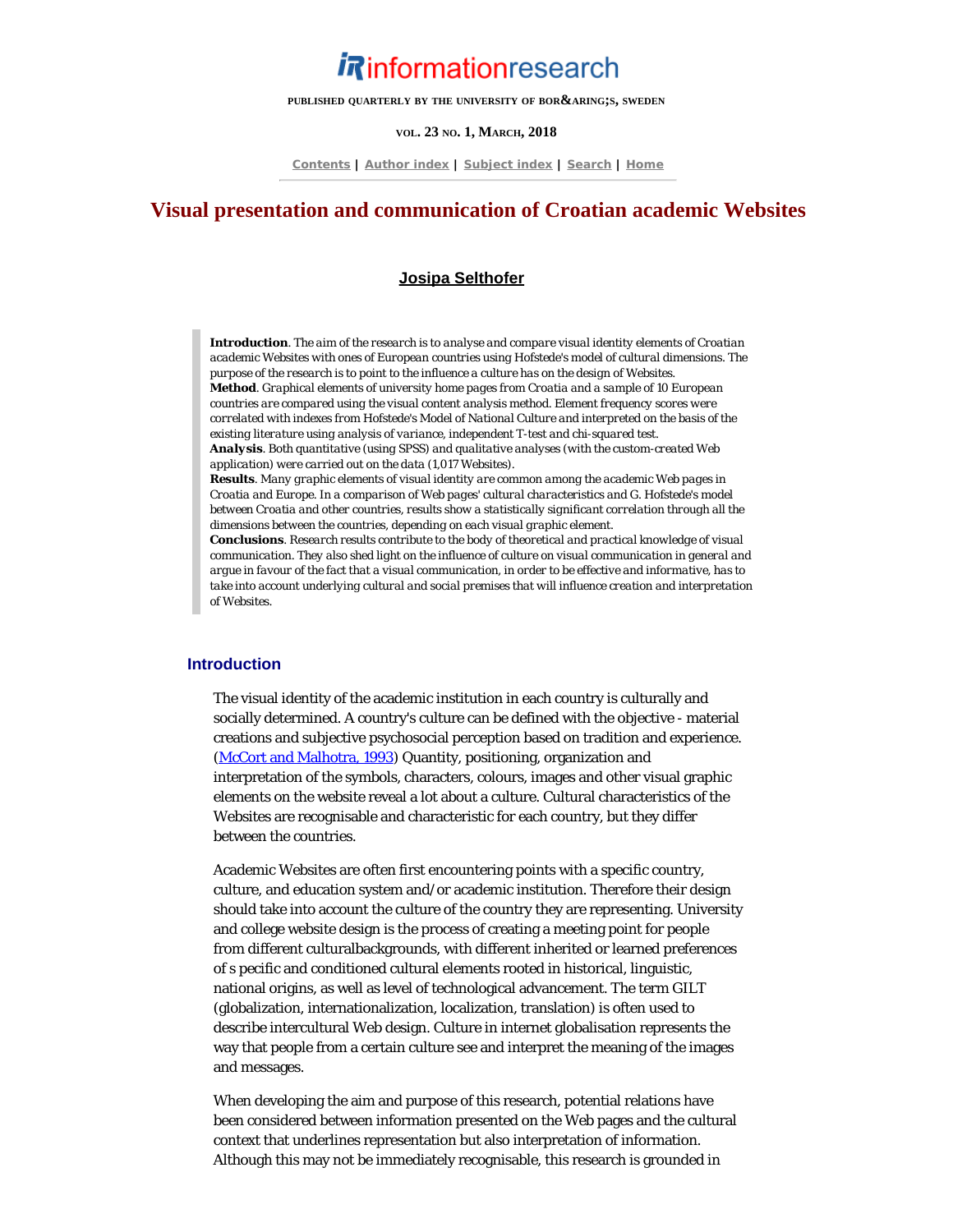# *i R*informationresearch

**PUBLISHED QUARTERLY BY THE UNIVERSITY OF BORÅS, SWEDEN**

#### **VOL. 23 NO. 1, MARCH, 2018**

**[Contents](http://www.informationr.net/ir/23-1/infres231.html) | [Author index](http://www.informationr.net/ir/iraindex.html) | [Subject index](http://www.informationr.net/ir/irsindex.html) | [Search](http://www.informationr.net/ir/search.html) | [Home](http://www.informationr.net/ir/index.html)**

# **Visual presentation and communication of Croatian academic Websites**

#### **[Josipa Selthofer](#page-16-0)**

*Introduction. The aim of the research is to analyse and compare visual identity elements of Croatian academic Websites with ones of European countries using Hofstede's model of cultural dimensions. The purpose of the research is to point to the influence a culture has on the design of Websites. Method. Graphical elements of university home pages from Croatia and a sample of 10 European countries are compared using the visual content analysis method. Element frequency scores were correlated with indexes from Hofstede's Model of National Culture and interpreted on the basis of the existing literature using analysis of variance, independent T-test and chi-squared test. Analysis. Both quantitative (using SPSS) and qualitative analyses (with the custom-created Web*

*application) were carried out on the data (1,017 Websites).*

*Results. Many graphic elements of visual identity are common among the academic Web pages in Croatia and Europe. In a comparison of Web pages' cultural characteristics and G. Hofstede's model between Croatia and other countries, results show a statistically significant correlation through all the dimensions between the countries, depending on each visual graphic element.*

*Conclusions. Research results contribute to the body of theoretical and practical knowledge of visual communication. They also shed light on the influence of culture on visual communication in general and argue in favour of the fact that a visual communication, in order to be effective and informative, has to take into account underlying cultural and social premises that will influence creation and interpretation of Websites.*

#### **Introduction**

The visual identity of the academic institution in each country is culturally and socially determined. A country's culture can be defined with the objective - material creations and subjective psychosocial perception based on tradition and experience. ([McCort and Malhotra, 1993\)](#page-18-0) Quantity, positioning, organization and interpretation of the symbols, characters, colours, images and other visual graphic elements on the website reveal a lot about a culture. Cultural characteristics of the Websites are recognisable and characteristic for each country, but they differ between the countries.

Academic Websites are often first encountering points with a specific country, culture, and education system and/or academic institution. Therefore their design should take into account the culture of the country they are representing. University and college website design is the process of creating a meeting point for people from different culturalbackgrounds, with different inherited or learned preferences of s pecific and conditioned cultural elements rooted in historical, linguistic, national origins, as well as level of technological advancement. The term GILT (globalization, internationalization, localization, translation) is often used to describe intercultural Web design. Culture in internet globalisation represents the way that people from a certain culture see and interpret the meaning of the images and messages.

When developing the aim and purpose of this research, potential relations have been considered between information presented on the Web pages and the cultural context that underlines representation but also interpretation of information. Although this may not be immediately recognisable, this research is grounded in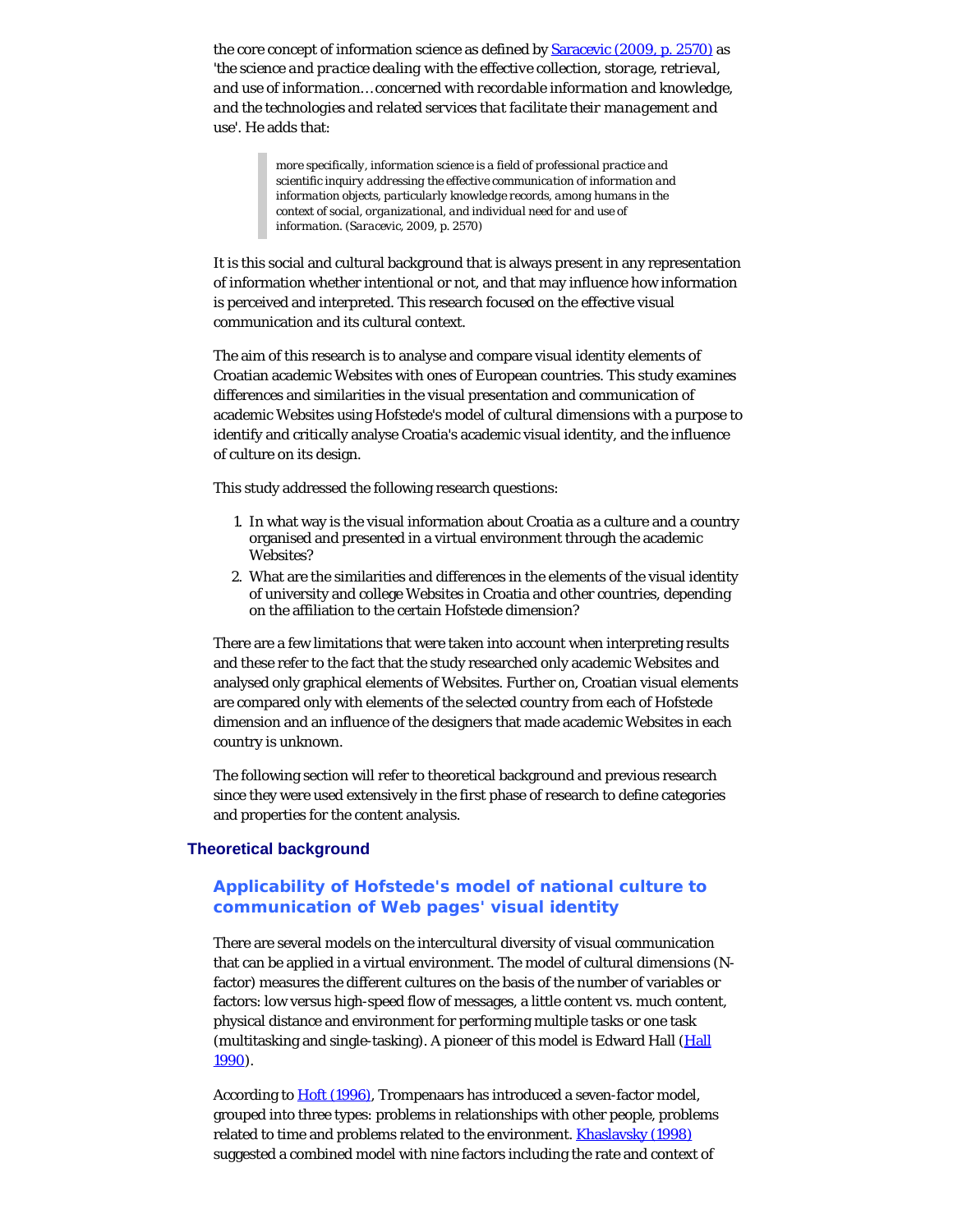the core concept of information science as defined by [Saracevic \(2009, p. 2570\)](#page-18-1) as '*the science and practice dealing with the effective collection, storage, retrieval, and use of information… concerned with recordable information and knowledge, and the technologies and related services that facilitate their management and use*'. He adds that:

> *more specifically, information science is a field of professional practice and scientific inquiry addressing the effective communication of information and information objects, particularly knowledge records, among humans in the context of social, organizational, and individual need for and use of information. (Saracevic, 2009, p. 2570)*

It is this social and cultural background that is always present in any representation of information whether intentional or not, and that may influence how information is perceived and interpreted. This research focused on the effective visual communication and its cultural context.

The aim of this research is to analyse and compare visual identity elements of Croatian academic Websites with ones of European countries. This study examines differences and similarities in the visual presentation and communication of academic Websites using Hofstede's model of cultural dimensions with a purpose to identify and critically analyse Croatia's academic visual identity, and the influence of culture on its design.

This study addressed the following research questions:

- 1. In what way is the visual information about Croatia as a culture and a country organised and presented in a virtual environment through the academic Websites?
- 2. What are the similarities and differences in the elements of the visual identity of university and college Websites in Croatia and other countries, depending on the affiliation to the certain Hofstede dimension?

There are a few limitations that were taken into account when interpreting results and these refer to the fact that the study researched only academic Websites and analysed only graphical elements of Websites. Further on, Croatian visual elements are compared only with elements of the selected country from each of Hofstede dimension and an influence of the designers that made academic Websites in each country is unknown.

The following section will refer to theoretical background and previous research since they were used extensively in the first phase of research to define categories and properties for the content analysis.

#### **Theoretical background**

# **Applicability of Hofstede's model of national culture to communication of Web pages' visual identity**

There are several models on the intercultural diversity of visual communication that can be applied in a virtual environment. The model of cultural dimensions (Nfactor) measures the different cultures on the basis of the number of variables or factors: low versus high-speed flow of messages, a little content vs. much content, physical distance and environment for performing multiple tasks or one task (multitasking and single-tasking). A pioneer of this model is Edward Hall ([Hall](#page-18-2) [1990](#page-18-2)).

According to [Hoft \(1996\)](#page-18-2), Trompenaars has introduced a seven-factor model, grouped into three types: problems in relationships with other people, problems related to time and problems related to the environment. **Khaslavsky (1998)** suggested a combined model with nine factors including the rate and context of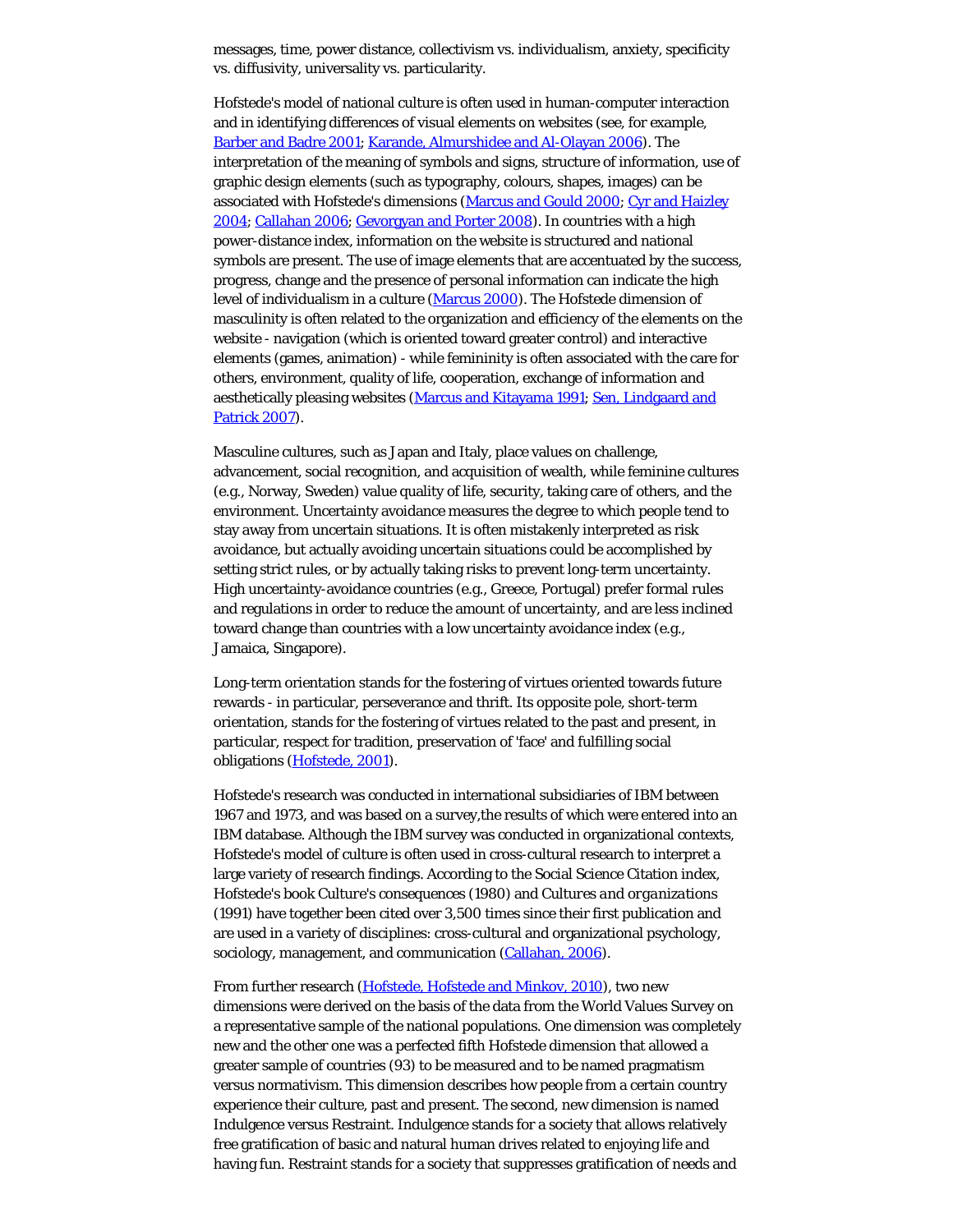messages, time, power distance, collectivism vs. individualism, anxiety, specificity vs. diffusivity, universality vs. particularity.

Hofstede's model of national culture is often used in human-computer interaction and in identifying differences of visual elements on websites (see, for example, [Barber and Badre 2001](#page-18-2); [Karande, Almurshidee and Al-Olayan 2006](#page-18-4)). The interpretation of the meaning of symbols and signs, structure of information, use of graphic design elements (such as typography, colours, shapes, images) can be associated with Hofstede's dimensions [\(Marcus and Gould 2000](#page-18-5); [Cyr and Haizley](#page-18-2) [2004](#page-18-2); [Callahan 2006](#page-18-2); [Gevorgyan and Porter 2008](#page-18-2)). In countries with a high power-distance index, information on the website is structured and national symbols are present. The use of image elements that are accentuated by the success, progress, change and the presence of personal information can indicate the high level of individualism in a culture [\(Marcus 2000\)](#page-18-6). The Hofstede dimension of masculinity is often related to the organization and efficiency of the elements on the website - navigation (which is oriented toward greater control) and interactive elements (games, animation) - while femininity is often associated with the care for others, environment, quality of life, cooperation, exchange of information and aesthetically pleasing websites [\(Marcus and Kitayama 1991](#page-18-7); [Sen, Lindgaard and](#page-18-8) [Patrick 2007](#page-18-8)).

Masculine cultures, such as Japan and Italy, place values on challenge, advancement, social recognition, and acquisition of wealth, while feminine cultures (e.g., Norway, Sweden) value quality of life, security, taking care of others, and the environment. Uncertainty avoidance measures the degree to which people tend to stay away from uncertain situations. It is often mistakenly interpreted as risk avoidance, but actually avoiding uncertain situations could be accomplished by setting strict rules, or by actually taking risks to prevent long-term uncertainty. High uncertainty-avoidance countries (e.g., Greece, Portugal) prefer formal rules and regulations in order to reduce the amount of uncertainty, and are less inclined toward change than countries with a low uncertainty avoidance index (e.g., Jamaica, Singapore).

Long-term orientation stands for the fostering of virtues oriented towards future rewards - in particular, perseverance and thrift. Its opposite pole, short-term orientation, stands for the fostering of virtues related to the past and present, in particular, respect for tradition, preservation of 'face' and fulfilling social obligations ([Hofstede, 2001\)](#page-18-2).

Hofstede's research was conducted in international subsidiaries of IBM between 1967 and 1973, and was based on a survey,the results of which were entered into an IBM database. Although the IBM survey was conducted in organizational contexts, Hofstede's model of culture is often used in cross-cultural research to interpret a large variety of research findings. According to the Social Science Citation index, Hofstede's book *Culture's consequences* (1980) and *Cultures and organizations* (1991) have together been cited over 3,500 times since their first publication and are used in a variety of disciplines: cross-cultural and organizational psychology, sociology, management, and communication [\(Callahan, 2006](#page-18-2)).

From further research ([Hofstede, Hofstede and Minkov, 2010](#page-18-2)), two new dimensions were derived on the basis of the data from the World Values Survey on a representative sample of the national populations. One dimension was completely new and the other one was a perfected fifth Hofstede dimension that allowed a greater sample of countries (93) to be measured and to be named pragmatism versus normativism. This dimension describes how people from a certain country experience their culture, past and present. The second, new dimension is named Indulgence versus Restraint. Indulgence stands for a society that allows relatively free gratification of basic and natural human drives related to enjoying life and having fun. Restraint stands for a society that suppresses gratification of needs and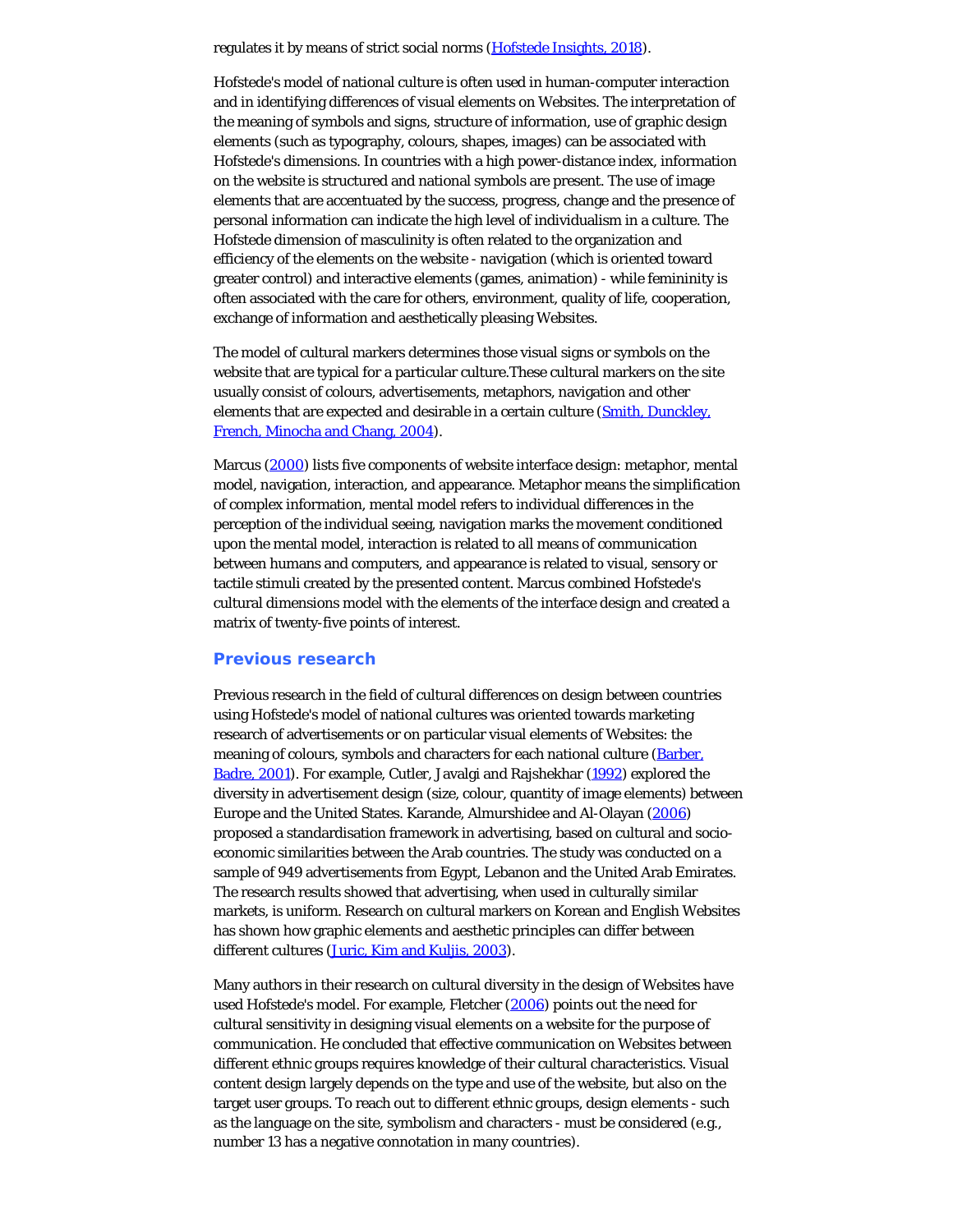regulates it by means of strict social norms [\(Hofstede Insights, 2018](#page-18-2)).

Hofstede's model of national culture is often used in human-computer interaction and in identifying differences of visual elements on Websites. The interpretation of the meaning of symbols and signs, structure of information, use of graphic design elements (such as typography, colours, shapes, images) can be associated with Hofstede's dimensions. In countries with a high power-distance index, information on the website is structured and national symbols are present. The use of image elements that are accentuated by the success, progress, change and the presence of personal information can indicate the high level of individualism in a culture. The Hofstede dimension of masculinity is often related to the organization and efficiency of the elements on the website - navigation (which is oriented toward greater control) and interactive elements (games, animation) - while femininity is often associated with the care for others, environment, quality of life, cooperation, exchange of information and aesthetically pleasing Websites.

The model of cultural markers determines those visual signs or symbols on the website that are typical for a particular culture.These cultural markers on the site usually consist of colours, advertisements, metaphors, navigation and other elements that are expected and desirable in a certain culture ([Smith, Dunckley,](#page-18-9) [French, Minocha and Chang, 2004](#page-18-9)).

Marcus [\(2000](#page-18-6)) lists five components of website interface design: metaphor, mental model, navigation, interaction, and appearance. Metaphor means the simplification of complex information, mental model refers to individual differences in the perception of the individual seeing, navigation marks the movement conditioned upon the mental model, interaction is related to all means of communication between humans and computers, and appearance is related to visual, sensory or tactile stimuli created by the presented content. Marcus combined Hofstede's cultural dimensions model with the elements of the interface design and created a matrix of twenty-five points of interest.

#### **Previous research**

Previous research in the field of cultural differences on design between countries using Hofstede's model of national cultures was oriented towards marketing research of advertisements or on particular visual elements of Websites: the meaning of colours, symbols and characters for each national culture ([Barber,](#page-18-2) [Badre, 2001](#page-18-2)). For example, Cutler, Javalgi and Rajshekhar [\(1992](#page-18-2)) explored the diversity in advertisement design (size, colour, quantity of image elements) between Europe and the United States. Karande, Almurshidee and Al-Olayan [\(2006](#page-18-4)) proposed a standardisation framework in advertising, based on cultural and socioeconomic similarities between the Arab countries. The study was conducted on a sample of 949 advertisements from Egypt, Lebanon and the United Arab Emirates. The research results showed that advertising, when used in culturally similar markets, is uniform. Research on cultural markers on Korean and English Websites has shown how graphic elements and aesthetic principles can differ between different cultures [\(Juric, Kim and Kuljis, 2003](#page-18-10)).

Many authors in their research on cultural diversity in the design of Websites have used Hofstede's model. For example, Fletcher [\(2006](#page-18-2)) points out the need for cultural sensitivity in designing visual elements on a website for the purpose of communication. He concluded that effective communication on Websites between different ethnic groups requires knowledge of their cultural characteristics. Visual content design largely depends on the type and use of the website, but also on the target user groups. To reach out to different ethnic groups, design elements - such as the language on the site, symbolism and characters - must be considered (e.g., number 13 has a negative connotation in many countries).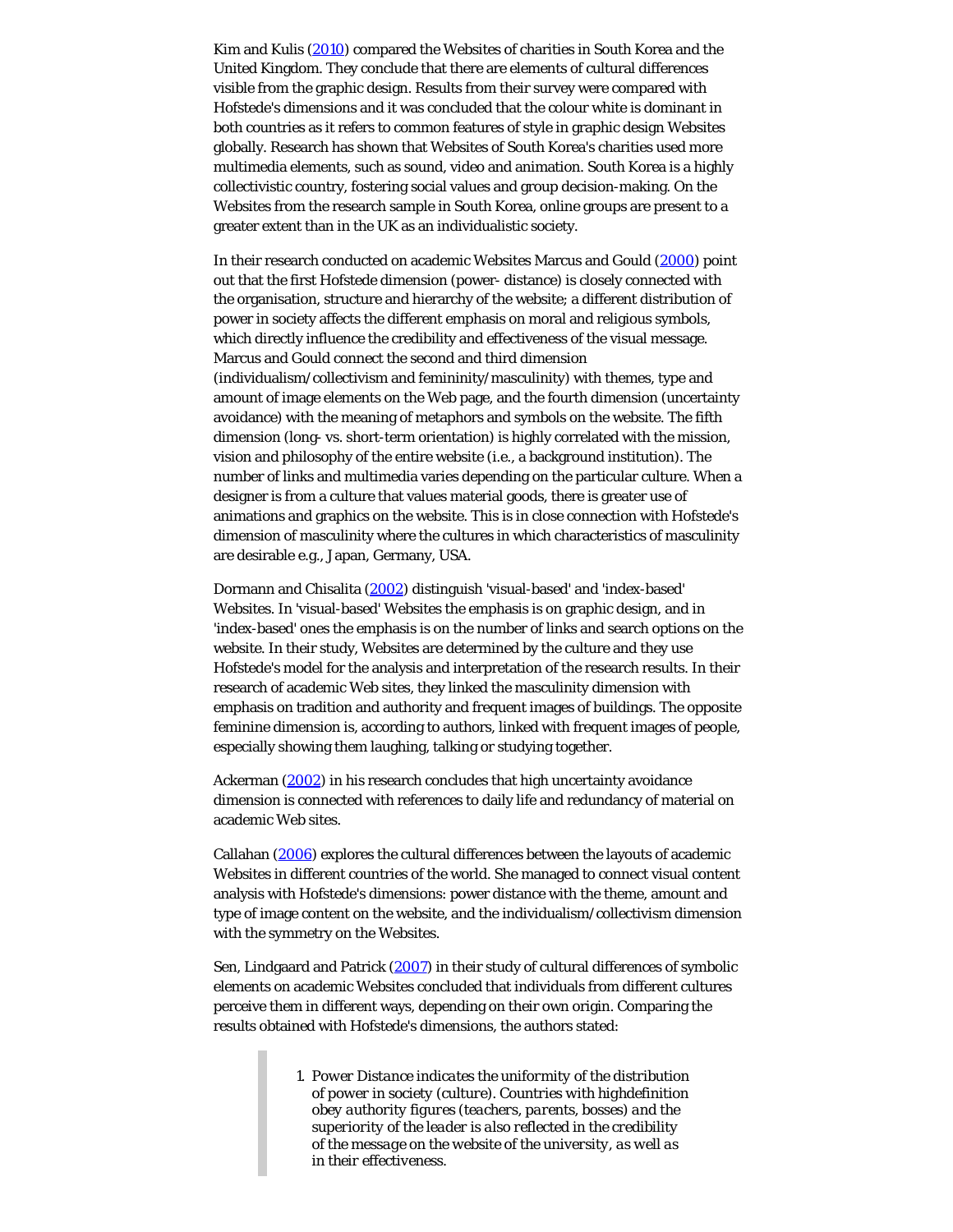Kim and Kulis [\(2010](#page-18-11)) compared the Websites of charities in South Korea and the United Kingdom. They conclude that there are elements of cultural differences visible from the graphic design. Results from their survey were compared with Hofstede's dimensions and it was concluded that the colour white is dominant in both countries as it refers to common features of style in graphic design Websites globally. Research has shown that Websites of South Korea's charities used more multimedia elements, such as sound, video and animation. South Korea is a highly collectivistic country, fostering social values and group decision-making. On the Websites from the research sample in South Korea, online groups are present to a greater extent than in the UK as an individualistic society.

In their research conducted on academic Websites Marcus and Gould [\(2000](#page-18-5)) point out that the first Hofstede dimension (power- distance) is closely connected with the organisation, structure and hierarchy of the website; a different distribution of power in society affects the different emphasis on moral and religious symbols, which directly influence the credibility and effectiveness of the visual message. Marcus and Gould connect the second and third dimension (individualism/collectivism and femininity/masculinity) with themes, type and amount of image elements on the Web page, and the fourth dimension (uncertainty avoidance) with the meaning of metaphors and symbols on the website. The fifth dimension (long- vs. short-term orientation) is highly correlated with the mission, vision and philosophy of the entire website (i.e., a background institution). The number of links and multimedia varies depending on the particular culture. When a designer is from a culture that values material goods, there is greater use of animations and graphics on the website. This is in close connection with Hofstede's dimension of masculinity where the cultures in which characteristics of masculinity are desirable e.g., Japan, Germany, USA.

Dormann and Chisalita [\(2002](#page-18-2)) distinguish 'visual-based' and 'index-based' Websites. In 'visual-based' Websites the emphasis is on graphic design, and in 'index-based' ones the emphasis is on the number of links and search options on the website. In their study, Websites are determined by the culture and they use Hofstede's model for the analysis and interpretation of the research results. In their research of academic Web sites, they linked the masculinity dimension with emphasis on tradition and authority and frequent images of buildings. The opposite feminine dimension is, according to authors, linked with frequent images of people, especially showing them laughing, talking or studying together.

Ackerman [\(2002](#page-18-2)) in his research concludes that high uncertainty avoidance dimension is connected with references to daily life and redundancy of material on academic Web sites.

Callahan [\(2006](#page-18-2)) explores the cultural differences between the layouts of academic Websites in different countries of the world. She managed to connect visual content analysis with Hofstede's dimensions: power distance with the theme, amount and type of image content on the website, and the individualism/collectivism dimension with the symmetry on the Websites.

Sen, Lindgaard and Patrick [\(2007](#page-18-8)) in their study of cultural differences of symbolic elements on academic Websites concluded that individuals from different cultures perceive them in different ways, depending on their own origin. Comparing the results obtained with Hofstede's dimensions, the authors stated:

> *1. Power Distance indicates the uniformity of the distribution of power in society (culture). Countries with highdefinition obey authority figures (teachers, parents, bosses) and the superiority of the leader is also reflected in the credibility of the message on the website of the university, as well as in their effectiveness.*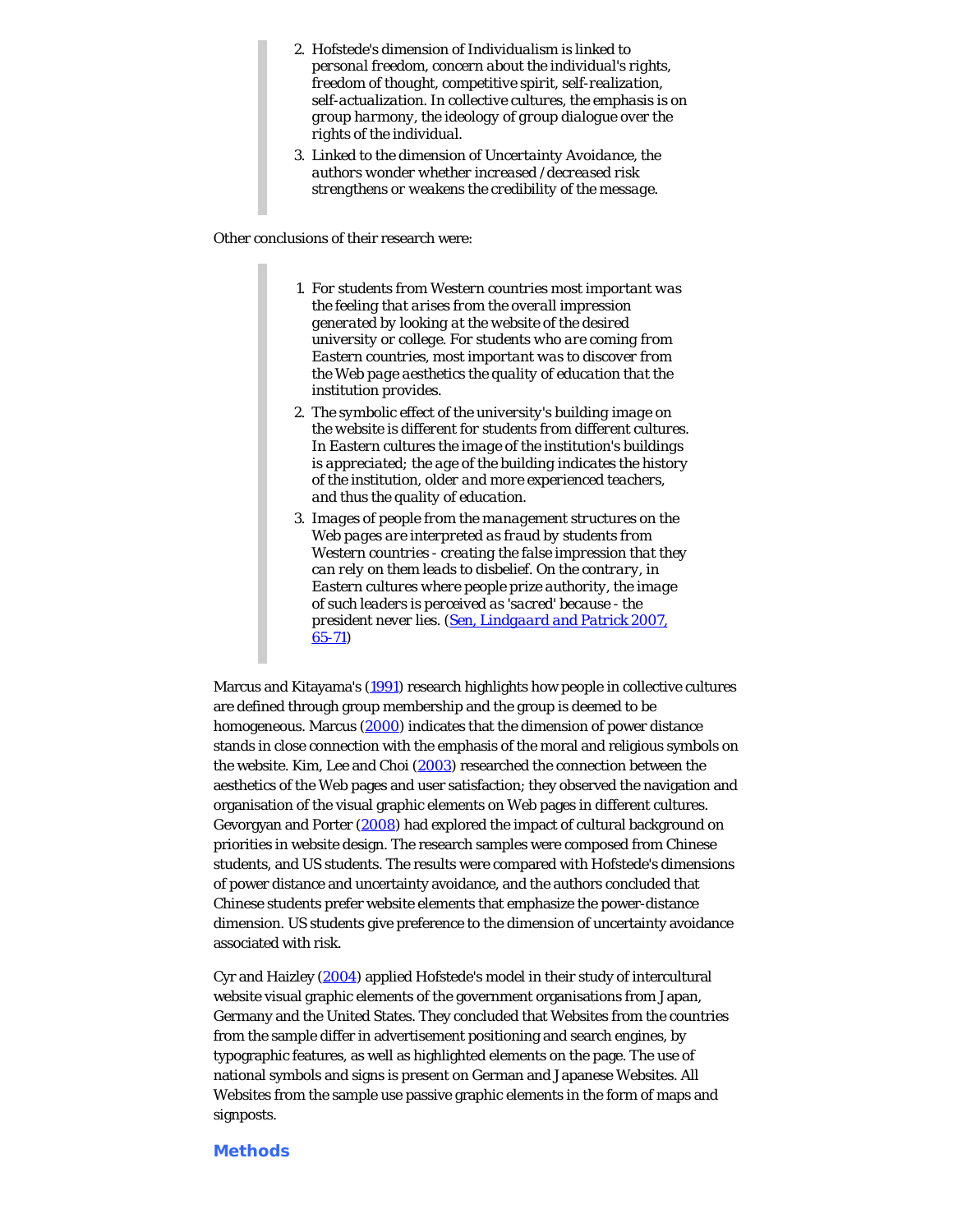- *2. Hofstede's dimension of Individualism is linked to personal freedom, concern about the individual's rights, freedom of thought, competitive spirit, self-realization, self-actualization. In collective cultures, the emphasis is on group harmony, the ideology of group dialogue over the rights of the individual.*
- *3. Linked to the dimension of Uncertainty Avoidance, the authors wonder whether increased /decreased risk strengthens or weakens the credibility of the message.*

Other conclusions of their research were:

- *1. For students from Western countries most important was the feeling that arises from the overall impression generated by looking at the website of the desired university or college. For students who are coming from Eastern countries, most important was to discover from the Web page aesthetics the quality of education that the institution provides.*
- *2. The symbolic effect of the university's building image on the website is different for students from different cultures. In Eastern cultures the image of the institution's buildings is appreciated; the age of the building indicates the history of the institution, older and more experienced teachers, and thus the quality of education.*
- *3. Images of people from the management structures on the Web pages are interpreted as fraud by students from Western countries - creating the false impression that they can rely on them leads to disbelief. On the contrary, in Eastern cultures where people prize authority, the image of such leaders is perceived as 'sacred' because - the president never lies. [\(Sen, Lindgaard and Patrick 2007,](#page-18-8) [65-71](#page-18-8))*

Marcus and Kitayama's [\(1991](#page-18-7)) research highlights how people in collective cultures are defined through group membership and the group is deemed to be homogeneous. Marcus [\(2000](#page-18-6)) indicates that the dimension of power distance stands in close connection with the emphasis of the moral and religious symbols on the website. Kim, Lee and Choi [\(2003](#page-18-12)) researched the connection between the aesthetics of the Web pages and user satisfaction; they observed the navigation and organisation of the visual graphic elements on Web pages in different cultures. Gevorgyan and Porter ([2008\)](#page-18-2) had explored the impact of cultural background on priorities in website design. The research samples were composed from Chinese students, and US students. The results were compared with Hofstede's dimensions of power distance and uncertainty avoidance, and the authors concluded that Chinese students prefer website elements that emphasize the power-distance dimension. US students give preference to the dimension of uncertainty avoidance associated with risk.

Cyr and Haizley [\(2004](#page-18-2)) applied Hofstede's model in their study of intercultural website visual graphic elements of the government organisations from Japan, Germany and the United States. They concluded that Websites from the countries from the sample differ in advertisement positioning and search engines, by typographic features, as well as highlighted elements on the page. The use of national symbols and signs is present on German and Japanese Websites. All Websites from the sample use passive graphic elements in the form of maps and signposts.

#### **Methods**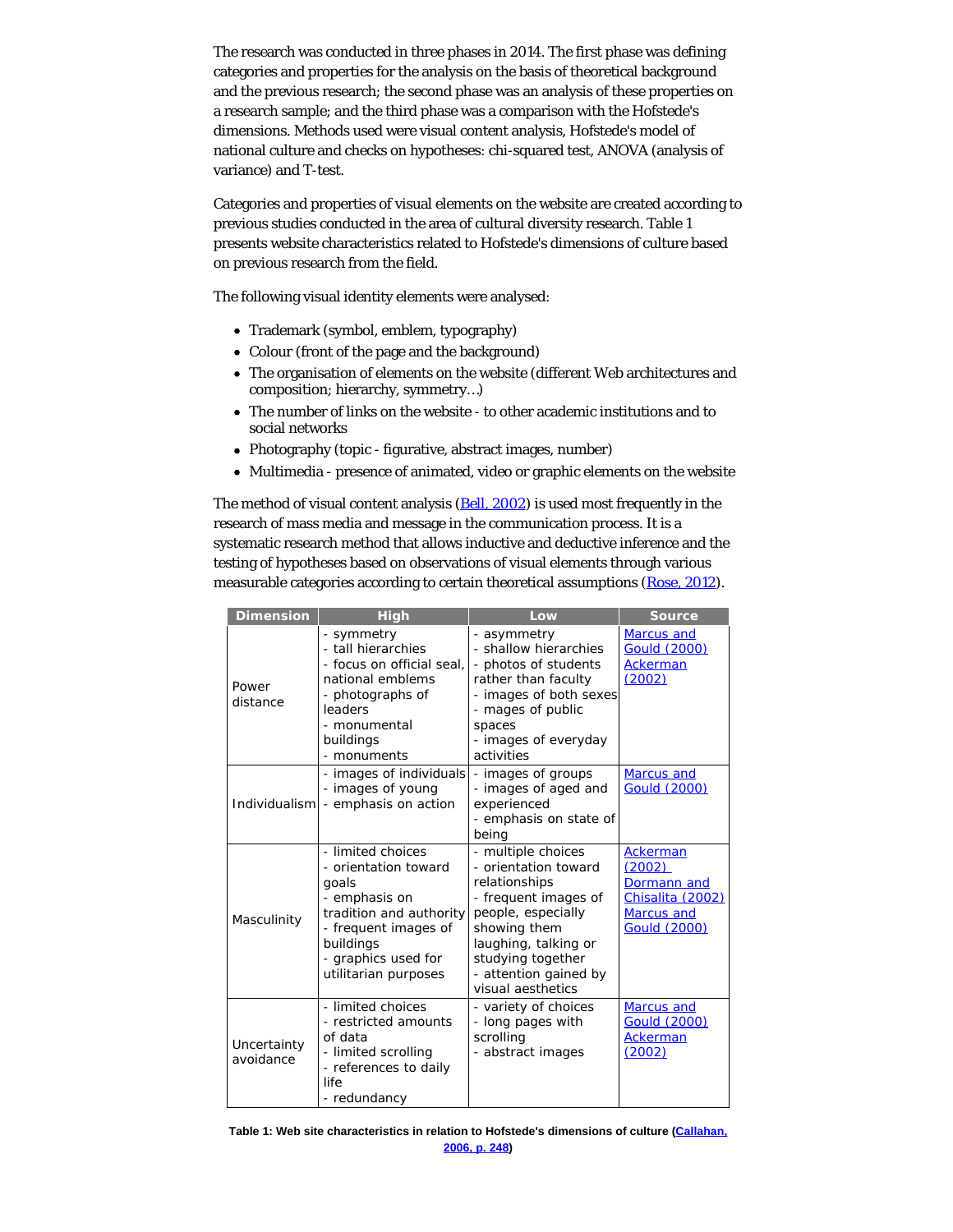The research was conducted in three phases in 2014. The first phase was defining categories and properties for the analysis on the basis of theoretical background and the previous research; the second phase was an analysis of these properties on a research sample; and the third phase was a comparison with the Hofstede's dimensions. Methods used were visual content analysis, Hofstede's model of national culture and checks on hypotheses: chi-squared test, ANOVA (analysis of variance) and T-test.

Categories and properties of visual elements on the website are created according to previous studies conducted in the area of cultural diversity research. Table 1 presents website characteristics related to Hofstede's dimensions of culture based on previous research from the field.

The following visual identity elements were analysed:

- Trademark (symbol, emblem, typography)
- Colour (front of the page and the background)
- The organisation of elements on the website (different Web architectures and composition; hierarchy, symmetry…)
- The number of links on the website to other academic institutions and to social networks
- Photography (topic figurative, abstract images, number)
- Multimedia presence of animated, video or graphic elements on the website

The method of visual content analysis [\(Bell, 2002](#page-18-2)) is used most frequently in the research of mass media and message in the communication process. It is a systematic research method that allows inductive and deductive inference and the testing of hypotheses based on observations of visual elements through various measurable categories according to certain theoretical assumptions [\(Rose, 2012](#page-18-13)).

| <b>Dimension</b>         | <b>High</b>                                                                                                                                                                        | Low                                                                                                                                                                                                                  | <b>Source</b>                                                                                     |
|--------------------------|------------------------------------------------------------------------------------------------------------------------------------------------------------------------------------|----------------------------------------------------------------------------------------------------------------------------------------------------------------------------------------------------------------------|---------------------------------------------------------------------------------------------------|
| Power<br>distance        | - symmetry<br>- tall hierarchies<br>- focus on official seal.<br>national emblems<br>- photographs of<br>leaders<br>- monumental<br>buildings<br>- monuments                       | - asymmetry<br>- shallow hierarchies<br>- photos of students<br>rather than faculty<br>- images of both sexes<br>- mages of public<br>spaces<br>- images of everyday<br>activities                                   | Marcus and<br><b>Gould (2000)</b><br>Ackerman<br>(2002)                                           |
| Individualism            | - images of individuals<br>- images of young<br>- emphasis on action                                                                                                               | - images of groups<br>- images of aged and<br>experienced<br>- emphasis on state of<br>being                                                                                                                         | <b>Marcus and</b><br><b>Gould (2000)</b>                                                          |
| Masculinity              | - limited choices<br>- orientation toward<br>goals<br>- emphasis on<br>tradition and authority<br>- frequent images of<br>buildings<br>- graphics used for<br>utilitarian purposes | - multiple choices<br>- orientation toward<br>relationships<br>- frequent images of<br>people, especially<br>showing them<br>laughing, talking or<br>studying together<br>- attention gained by<br>visual aesthetics | Ackerman<br>(2002)<br>Dormann and<br>Chisalita (2002)<br><b>Marcus and</b><br><b>Gould (2000)</b> |
| Uncertainty<br>avoidance | - limited choices<br>- restricted amounts<br>of data<br>- limited scrolling<br>- references to daily<br>life<br>- redundancy                                                       | - variety of choices<br>- long pages with<br>scrolling<br>- abstract images                                                                                                                                          | <b>Marcus and</b><br><b>Gould (2000)</b><br><b>Ackerman</b><br>(2002)                             |

**Table 1: Web site characteristics in relation to Hofstede's dimensions of culture [\(Callahan,](#page-18-2) [2006, p. 248](#page-18-2))**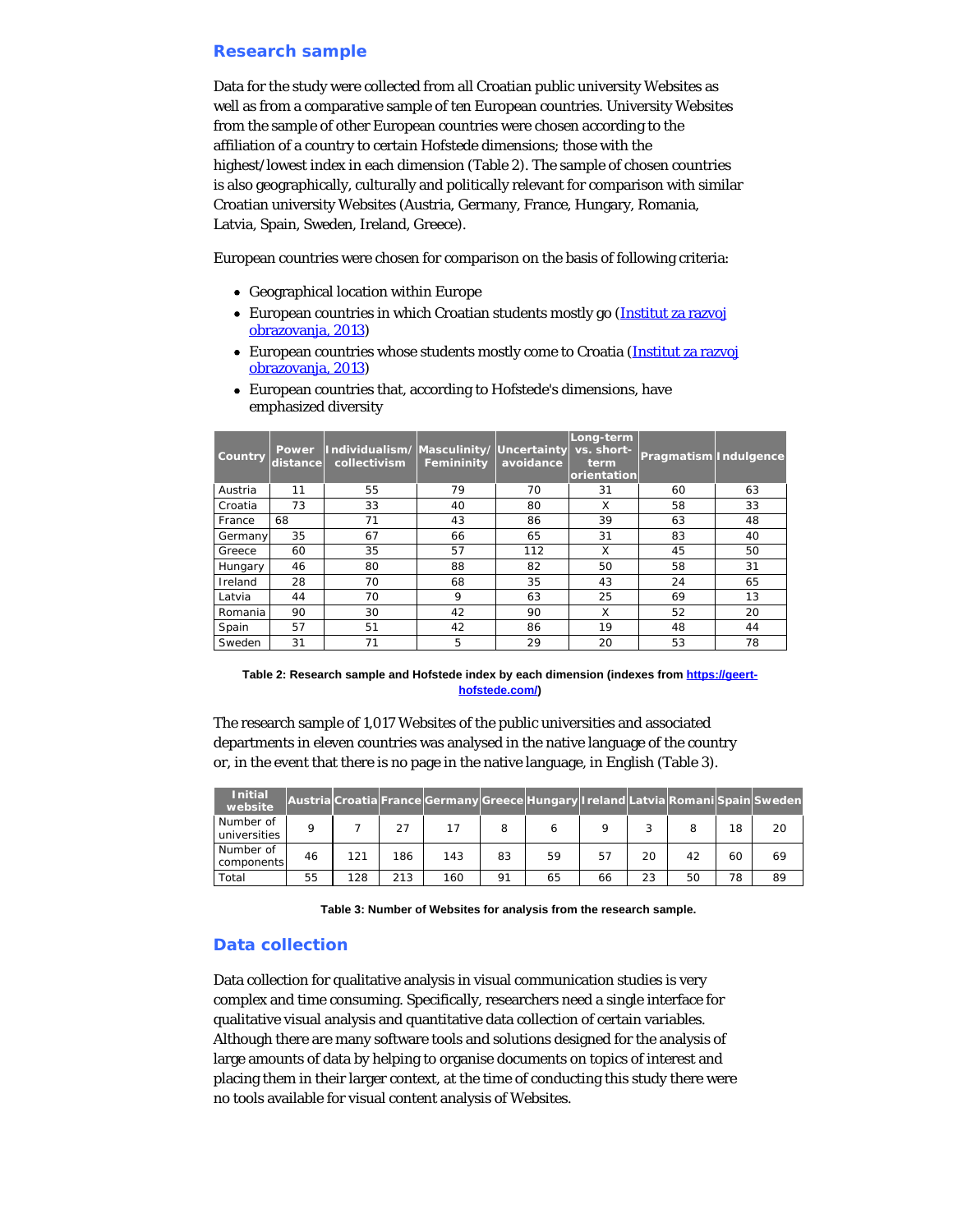## **Research sample**

Data for the study were collected from all Croatian public university Websites as well as from a comparative sample of ten European countries. University Websites from the sample of other European countries were chosen according to the affiliation of a country to certain Hofstede dimensions; those with the highest/lowest index in each dimension (Table 2). The sample of chosen countries is also geographically, culturally and politically relevant for comparison with similar Croatian university Websites (Austria, Germany, France, Hungary, Romania, Latvia, Spain, Sweden, Ireland, Greece).

European countries were chosen for comparison on the basis of following criteria:

- Geographical location within Europe
- European countries in which Croatian students mostly go [\(Institut za razvoj](#page-18-2) [obrazovanja, 2013](#page-18-2))
- European countries whose students mostly come to Croatia [\(Institut za razvoj](#page-18-2) [obrazovanja, 2013](#page-18-2))

| Country | Power<br>distance | Individualism/Masculinity/Uncertainty<br>collectivism | Femininity | avoidance | Long-term<br>vs. short-<br>term.<br>orientation | Pragmatism Indulgence |    |
|---------|-------------------|-------------------------------------------------------|------------|-----------|-------------------------------------------------|-----------------------|----|
| Austria | 11                | 55                                                    | 79         | 70        | 31                                              | 60                    | 63 |
| Croatia | 73                | 33                                                    | 40         | 80        | X                                               | 58                    | 33 |
| France  | 68                | 71                                                    | 43         | 86        | 39                                              | 63                    | 48 |
| Germany | 35                | 67                                                    | 66         | 65        | 31                                              | 83                    | 40 |
| Greece  | 60                | 35                                                    | 57         | 112       | X                                               | 45                    | 50 |
| Hungary | 46                | 80                                                    | 88         | 82        | 50                                              | 58                    | 31 |
| Ireland | 28                | 70                                                    | 68         | 35        | 43                                              | 24                    | 65 |
| Latvia  | 44                | 70                                                    | 9          | 63        | 25                                              | 69                    | 13 |
| Romania | 90                | 30                                                    | 42         | 90        | X                                               | 52                    | 20 |
| Spain   | 57                | 51                                                    | 42         | 86        | 19                                              | 48                    | 44 |
| Sweden  | 31                | 71                                                    | 5          | 29        | 20                                              | 53                    | 78 |

European countries that, according to Hofstede's dimensions, have emphasized diversity

**Table 2: Research sample and Hofstede index by each dimension (indexes from [https://geert](https://geert-hofstede.com/)[hofstede.com/\)](https://geert-hofstede.com/)**

The research sample of 1,017 Websites of the public universities and associated departments in eleven countries was analysed in the native language of the country or, in the event that there is no page in the native language, in English (Table 3).

| <b>Initial</b><br>website |    |     |     | Austria Croatia France Germany Greece Hungary Ireland Latvia Romani Spain Sweden |    |    |         |    |    |    |    |
|---------------------------|----|-----|-----|----------------------------------------------------------------------------------|----|----|---------|----|----|----|----|
| Number of<br>universities | o  |     | 27  | 17                                                                               | 8  |    | $\circ$ |    |    | 18 | 20 |
| Number of<br>components   | 46 | 121 | 186 | 143                                                                              | 83 | 59 | 57      | 20 | 42 | 60 | 69 |
| Total                     | 55 | 128 | 213 | 160                                                                              | 91 | 65 | 66      | 23 | 50 | 78 | 89 |

**Table 3: Number of Websites for analysis from the research sample.**

# **Data collection**

Data collection for qualitative analysis in visual communication studies is very complex and time consuming. Specifically, researchers need a single interface for qualitative visual analysis and quantitative data collection of certain variables. Although there are many software tools and solutions designed for the analysis of large amounts of data by helping to organise documents on topics of interest and placing them in their larger context, at the time of conducting this study there were no tools available for visual content analysis of Websites.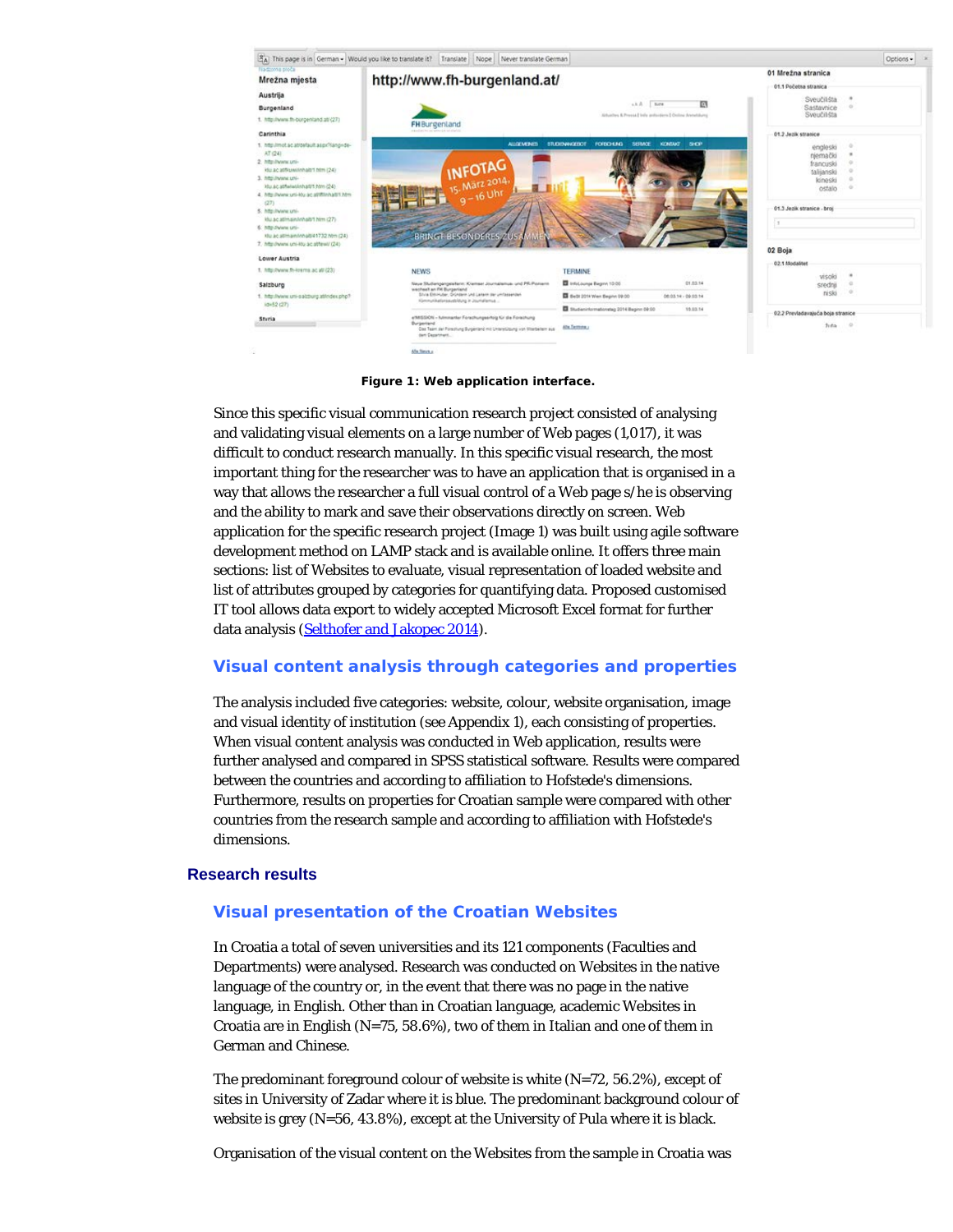

**Figure 1: Web application interface.**

Since this specific visual communication research project consisted of analysing and validating visual elements on a large number of Web pages (1,017), it was difficult to conduct research manually. In this specific visual research, the most important thing for the researcher was to have an application that is organised in a way that allows the researcher a full visual control of a Web page s/he is observing and the ability to mark and save their observations directly on screen. Web application for the specific research project (Image 1) was built using agile software development method on LAMP stack and is available online. It offers three main sections: list of Websites to evaluate, visual representation of loaded website and list of attributes grouped by categories for quantifying data. Proposed customised IT tool allows data export to widely accepted Microsoft Excel format for further data analysis [\(Selthofer and Jakopec 2014](#page-18-14)).

# **Visual content analysis through categories and properties**

The analysis included five categories: website, colour, website organisation, image and visual identity of institution (see Appendix 1), each consisting of properties. When visual content analysis was conducted in Web application, results were further analysed and compared in SPSS statistical software. Results were compared between the countries and according to affiliation to Hofstede's dimensions. Furthermore, results on properties for Croatian sample were compared with other countries from the research sample and according to affiliation with Hofstede's dimensions.

### **Research results**

## **Visual presentation of the Croatian Websites**

In Croatia a total of seven universities and its 121 components (Faculties and Departments) were analysed. Research was conducted on Websites in the native language of the country or, in the event that there was no page in the native language, in English. Other than in Croatian language, academic Websites in Croatia are in English (N=75, 58.6%), two of them in Italian and one of them in German and Chinese.

The predominant foreground colour of website is white  $(N=72, 56.2\%)$ , except of sites in University of Zadar where it is blue. The predominant background colour of website is grey (N=56, 43.8%), except at the University of Pula where it is black.

Organisation of the visual content on the Websites from the sample in Croatia was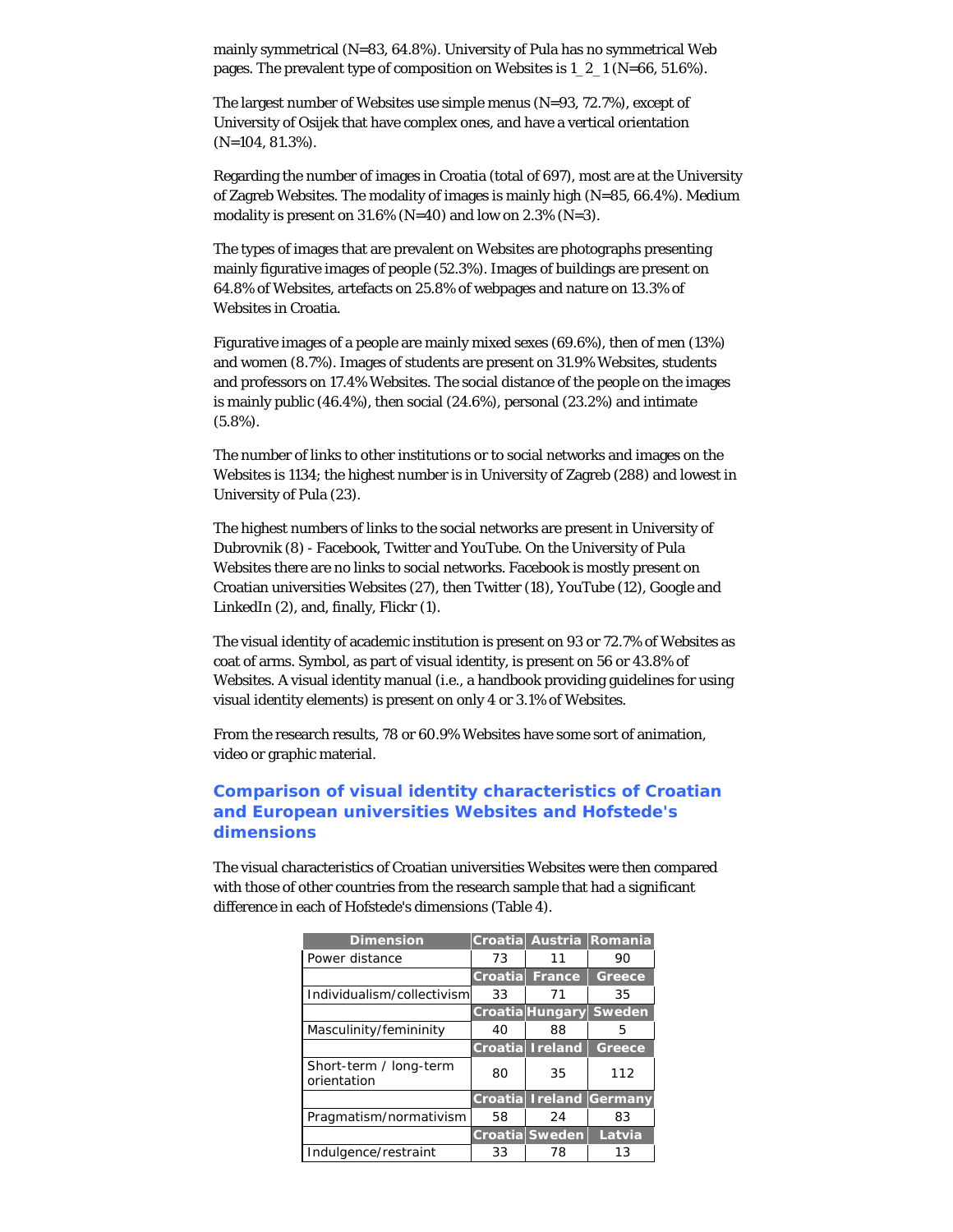mainly symmetrical (N=83, 64.8%). University of Pula has no symmetrical Web pages. The prevalent type of composition on Websites is 1\_2\_1 (N=66, 51.6%).

The largest number of Websites use simple menus (N=93, 72.7%), except of University of Osijek that have complex ones, and have a vertical orientation (N=104, 81.3%).

Regarding the number of images in Croatia (total of 697), most are at the University of Zagreb Websites. The modality of images is mainly high (N=85, 66.4%). Medium modality is present on  $31.6\%$  (N=40) and low on  $2.3\%$  (N=3).

The types of images that are prevalent on Websites are photographs presenting mainly figurative images of people (52.3%). Images of buildings are present on 64.8% of Websites, artefacts on 25.8% of webpages and nature on 13.3% of Websites in Croatia.

Figurative images of a people are mainly mixed sexes (69.6%), then of men (13%) and women (8.7%). Images of students are present on 31.9% Websites, students and professors on 17.4% Websites. The social distance of the people on the images is mainly public (46.4%), then social (24.6%), personal (23.2%) and intimate (5.8%).

The number of links to other institutions or to social networks and images on the Websites is 1134; the highest number is in University of Zagreb (288) and lowest in University of Pula (23).

The highest numbers of links to the social networks are present in University of Dubrovnik (8) - Facebook, Twitter and YouTube. On the University of Pula Websites there are no links to social networks. Facebook is mostly present on Croatian universities Websites (27), then Twitter (18), YouTube (12), Google and LinkedIn (2), and, finally, Flickr (1).

The visual identity of academic institution is present on 93 or 72.7% of Websites as coat of arms. Symbol, as part of visual identity, is present on 56 or 43.8% of Websites. A visual identity manual (i.e., a handbook providing guidelines for using visual identity elements) is present on only 4 or 3.1% of Websites.

From the research results, 78 or 60.9% Websites have some sort of animation, video or graphic material.

# **Comparison of visual identity characteristics of Croatian and European universities Websites and Hofstede's dimensions**

The visual characteristics of Croatian universities Websites were then compared with those of other countries from the research sample that had a significant difference in each of Hofstede's dimensions (Table 4).

| Croatia |        | <b>Austria Romania</b>                                                               |
|---------|--------|--------------------------------------------------------------------------------------|
| 73      | 11     | 90                                                                                   |
| Croatia | France | Greece                                                                               |
| 33      | 71     | 35                                                                                   |
|         |        | <b>Sweden</b>                                                                        |
| 40      | 88     | 5                                                                                    |
|         |        | Greece                                                                               |
| 80      | 35     | 112                                                                                  |
|         |        | <b>Ireland Germany</b>                                                               |
| 58      | 24     | 83                                                                                   |
|         |        | Latvia                                                                               |
| 33      | 78     | 13                                                                                   |
|         |        | <b>Croatia</b> Hungary<br><b>Croatia</b> Ireland<br>Croatia<br><b>Croatia Sweden</b> |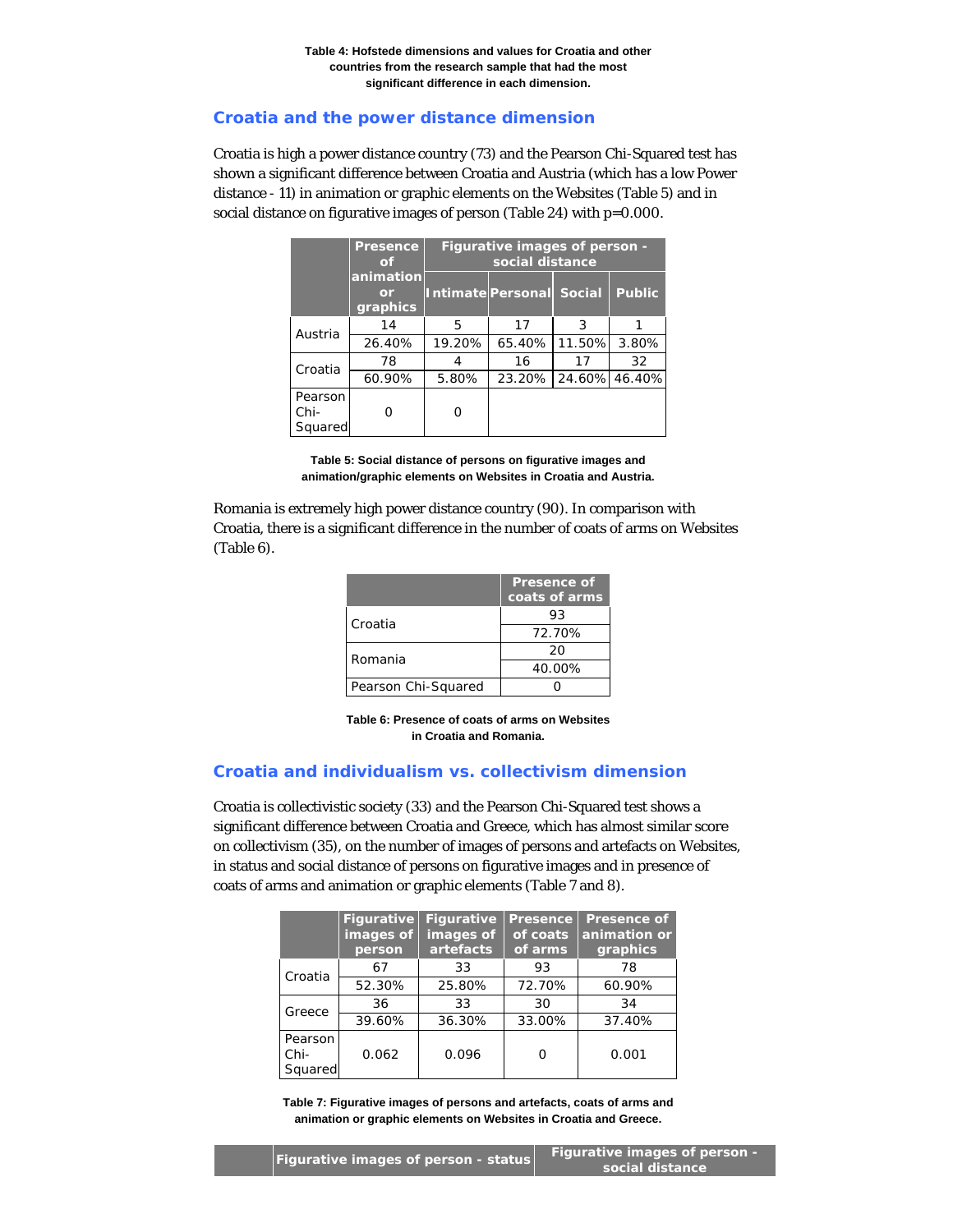# **Croatia and the power distance dimension**

Croatia is high a power distance country (73) and the Pearson Chi-Squared test has shown a significant difference between Croatia and Austria (which has a low Power distance - 11) in animation or graphic elements on the Websites (Table 5) and in social distance on figurative images of person (Table 24) with p=0.000.

|                            | <b>Presence</b><br>of       | Figurative images of person -<br>social distance |                          |        |               |  |  |
|----------------------------|-----------------------------|--------------------------------------------------|--------------------------|--------|---------------|--|--|
|                            | animation<br>or<br>graphics |                                                  | Intimate Personal Social |        | <b>Public</b> |  |  |
| Austria                    | 14                          | 5                                                | 17                       | 3      |               |  |  |
|                            | 26.40%                      | 19.20%                                           | 65.40%                   | 11.50% | 3.80%         |  |  |
|                            | 78                          |                                                  | 16                       | 17     | 32            |  |  |
| Croatia                    | 60.90%                      | 5.80%                                            | 23.20%                   |        | 24.60% 46.40% |  |  |
| Pearson<br>Chi-<br>Squared |                             | O                                                |                          |        |               |  |  |

**Table 5: Social distance of persons on figurative images and animation/graphic elements on Websites in Croatia and Austria.**

Romania is extremely high power distance country (90). In comparison with Croatia, there is a significant difference in the number of coats of arms on Websites (Table 6).

|                     | <b>Presence of</b><br>coats of arms |
|---------------------|-------------------------------------|
| Croatia             | 93                                  |
|                     | 72.70%                              |
| Romania             | 20                                  |
|                     | 40.00%                              |
| Pearson Chi-Squared |                                     |

**Table 6: Presence of coats of arms on Websites in Croatia and Romania.**

## **Croatia and individualism vs. collectivism dimension**

Croatia is collectivistic society (33) and the Pearson Chi-Squared test shows a significant difference between Croatia and Greece, which has almost similar score on collectivism (35), on the number of images of persons and artefacts on Websites, in status and social distance of persons on figurative images and in presence of coats of arms and animation or graphic elements (Table 7 and 8).

|                            | <b>Figurative</b><br>images of<br>person | <b>Figurative</b><br>images of<br>artefacts | <b>Presence</b><br>of coats<br>of arms | <b>Presence of</b><br>animation or<br>graphics |
|----------------------------|------------------------------------------|---------------------------------------------|----------------------------------------|------------------------------------------------|
| Croatia                    | 67                                       | 33                                          | 93                                     | 78                                             |
|                            | 52.30%                                   | 25.80%                                      | 72.70%                                 | 60.90%                                         |
| Greece                     | 36                                       | 33                                          | 30                                     | 34                                             |
|                            | 39.60%                                   | 36.30%                                      | 33.00%                                 | 37.40%                                         |
| Pearson<br>Chi-<br>Squared | 0.062                                    | 0.096                                       | Ω                                      | 0.001                                          |

**Table 7: Figurative images of persons and artefacts, coats of arms and animation or graphic elements on Websites in Croatia and Greece.**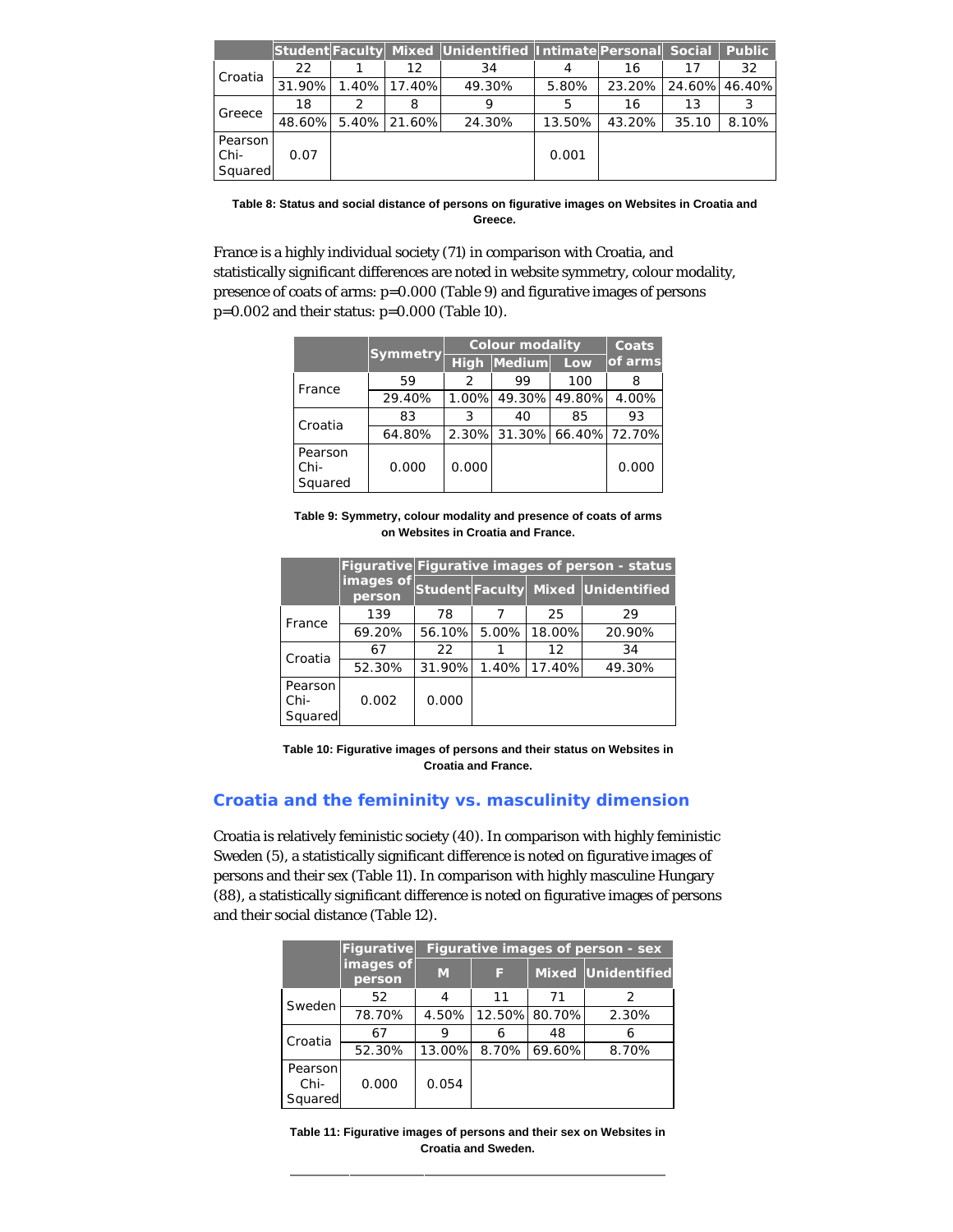|                            |        |              | Student Faculty Mixed Unidentified Intimate Personal Social |        |                      |       | <b>Public</b> |
|----------------------------|--------|--------------|-------------------------------------------------------------|--------|----------------------|-------|---------------|
| Croatia                    | 22     | 12           | 34                                                          |        | 16                   | 17    | 32            |
|                            | 31.90% | 1.40% 17.40% | 49.30%                                                      | 5.80%  | 23.20% 24.60% 46.40% |       |               |
| Greece                     | 18     | 8            | 9                                                           | 5      | 16                   | 13    |               |
|                            | 48.60% | 5.40% 21.60% | 24.30%                                                      | 13.50% | 43.20%               | 35.10 | 8.10%         |
| Pearson<br>Chi-<br>Squared | 0.07   |              |                                                             | 0.001  |                      |       |               |

**Table 8: Status and social distance of persons on figurative images on Websites in Croatia and Greece.**

France is a highly individual society (71) in comparison with Croatia, and statistically significant differences are noted in website symmetry, colour modality, presence of coats of arms: p=0.000 (Table 9) and figurative images of persons p=0.002 and their status: p=0.000 (Table 10).

|                            |          |               | <b>Colour modality</b>     |        |         |  |
|----------------------------|----------|---------------|----------------------------|--------|---------|--|
|                            | Symmetry |               | High Medium                | Low    | of arms |  |
| France                     | 59       | $\mathcal{P}$ | 99                         | 100    | 8       |  |
|                            | 29.40%   |               | 1.00% 49.30%               | 49.80% | 4.00%   |  |
|                            | 83       | 3             | 40                         | 85     | 93      |  |
| Croatia                    | 64.80%   |               | 2.30% 31.30% 66.40% 72.70% |        |         |  |
| Pearson<br>Chi-<br>Squared | 0.000    | 0.000         |                            |        | 0.000   |  |

**Table 9: Symmetry, colour modality and presence of coats of arms on Websites in Croatia and France.**

|                            |                     |        | Figurative Figurative images of person - status |        |                                    |  |  |  |
|----------------------------|---------------------|--------|-------------------------------------------------|--------|------------------------------------|--|--|--|
|                            | images of<br>person |        |                                                 |        | Student Faculty Mixed Unidentified |  |  |  |
|                            | 139                 | 78     |                                                 | 25     | 29                                 |  |  |  |
| France                     | 69.20%              | 56.10% | 5.00%                                           | 18.00% | 20.90%                             |  |  |  |
| Croatia                    | 67                  | 22     |                                                 | 12     | 34                                 |  |  |  |
|                            | 52.30%              | 31.90% | 1.40%                                           | 17.40% | 49.30%                             |  |  |  |
| Pearson<br>Chi-<br>Squared | 0.002               | 0.000  |                                                 |        |                                    |  |  |  |

**Table 10: Figurative images of persons and their status on Websites in Croatia and France.**

# **Croatia and the femininity vs. masculinity dimension**

Croatia is relatively feministic society (40). In comparison with highly feministic Sweden (5), a statistically significant difference is noted on figurative images of persons and their sex (Table 11). In comparison with highly masculine Hungary (88), a statistically significant difference is noted on figurative images of persons and their social distance (Table 12).

|                            | Figurative          | Figurative images of person - sex |       |               |                           |  |  |
|----------------------------|---------------------|-----------------------------------|-------|---------------|---------------------------|--|--|
|                            | images of<br>person | M                                 | ß     |               | <b>Mixed Unidentified</b> |  |  |
| Sweden                     | 52                  | 4                                 | 11    | 71            | $\mathcal{P}$             |  |  |
|                            | 78.70%              | 4.50%                             |       | 12.50% 80.70% | 2.30%                     |  |  |
| Croatia                    | 67                  | 9                                 | 6     | 48            |                           |  |  |
|                            | 52.30%              | 13.00%                            | 8.70% | 69.60%        | 8.70%                     |  |  |
| Pearson<br>Chi-<br>Squared | 0.000               | 0.054                             |       |               |                           |  |  |

**Table 11: Figurative images of persons and their sex on Websites in Croatia and Sweden.**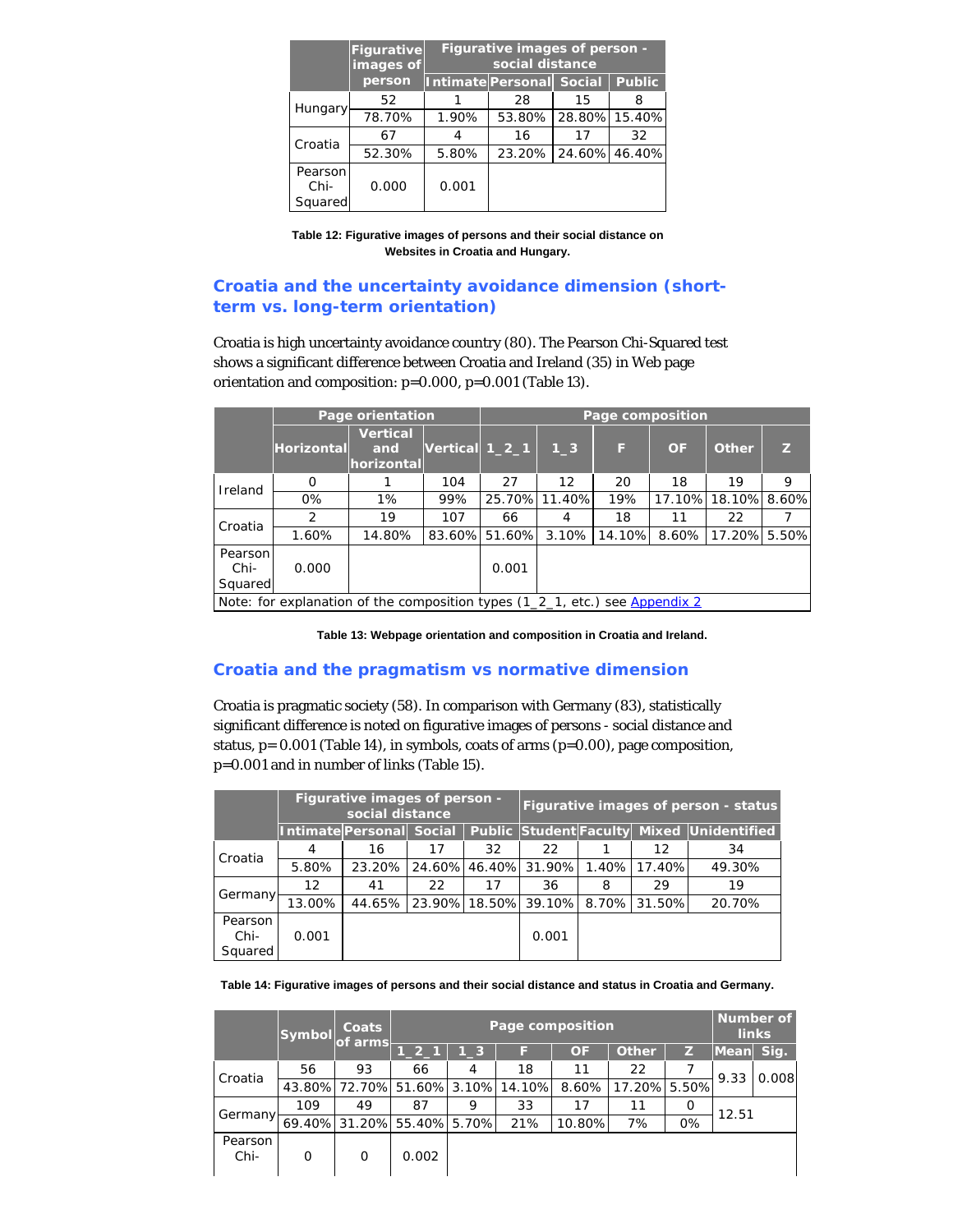|                            | Figurative<br>images of | <b>Figurative images of person -</b><br>social distance |                          |    |               |  |  |
|----------------------------|-------------------------|---------------------------------------------------------|--------------------------|----|---------------|--|--|
|                            | person                  |                                                         | Intimate Personal Social |    | <b>Public</b> |  |  |
|                            | 52                      |                                                         | 28                       | 15 | 8             |  |  |
| Hungary                    | 78.70%                  | 1.90%                                                   | 53.80%                   |    | 28.80% 15.40% |  |  |
| Croatia                    | 67                      |                                                         | 16                       | 17 | 32            |  |  |
|                            | 52.30%                  | 5.80%                                                   | 23.20%                   |    | 24.60% 46.40% |  |  |
| Pearson<br>Chi-<br>Squared | 0.000                   | 0.001                                                   |                          |    |               |  |  |

**Table 12: Figurative images of persons and their social distance on Websites in Croatia and Hungary.**

# **Croatia and the uncertainty avoidance dimension (shortterm vs. long-term orientation)**

Croatia is high uncertainty avoidance country (80). The Pearson Chi-Squared test shows a significant difference between Croatia and Ireland (35) in Web page orientation and composition: p=0.000, p=0.001 (Table 13).

|                            | Page orientation                                                            |                                      | Page composition |               |               |              |           |              |   |
|----------------------------|-----------------------------------------------------------------------------|--------------------------------------|------------------|---------------|---------------|--------------|-----------|--------------|---|
|                            | <b>Horizontal</b>                                                           | <b>Vertical</b><br>and<br>horizontal | Vertical $1_2_1$ |               | $1-3$         | F            | <b>OF</b> | Other        | Z |
| Ireland                    | 0                                                                           |                                      | 104              | 27            | 12            | 20           | 18        | 19           | 9 |
|                            | 0%                                                                          | $1\%$                                | 99%              |               | 25.70% 11.40% | 19%          | 17.10%    | 18.10% 8.60% |   |
| Croatia                    | 2                                                                           | 19                                   | 107              | 66            | 4             | 18           | 11        | 22           |   |
|                            | 1.60%                                                                       | 14.80%                               |                  | 83.60% 51.60% |               | 3.10% 14.10% | 8.60%     | 17.20% 5.50% |   |
| Pearson<br>Chi-<br>Squared | 0.000                                                                       |                                      |                  | 0.001         |               |              |           |              |   |
|                            | Note: for explanation of the composition types (1_2_1, etc.) see Appendix 2 |                                      |                  |               |               |              |           |              |   |

**Table 13: Webpage orientation and composition in Croatia and Ireland.**

## **Croatia and the pragmatism vs normative dimension**

Croatia is pragmatic society (58). In comparison with Germany (83), statistically significant difference is noted on figurative images of persons - social distance and status, p= 0.001 (Table 14), in symbols, coats of arms (p=0.00), page composition, p=0.001 and in number of links (Table 15).

|                            | Figurative images of person - |                                 |    |    |                      | Figurative images of person - status |        |                                           |
|----------------------------|-------------------------------|---------------------------------|----|----|----------------------|--------------------------------------|--------|-------------------------------------------|
|                            |                               | <b>Intimate Personal Social</b> |    |    |                      |                                      |        | Public Student Faculty Mixed Unidentified |
| Croatia                    | 4                             | 16                              | 17 | 32 | 22                   |                                      | 12     | 34                                        |
|                            | 5.80%                         | 23.20%                          |    |    | 24.60% 46.40% 31.90% | 1.40%                                | 17.40% | 49.30%                                    |
|                            | 12                            | 41                              | 22 | 17 | 36                   | 8                                    | 29     | 19                                        |
| Germany                    | 13.00%                        | 44.65%                          |    |    | 23.90% 18.50% 39.10% | 8.70%                                | 31.50% | 20.70%                                    |
| Pearson<br>Chi-<br>Squared | 0.001                         |                                 |    |    | 0.001                |                                      |        |                                           |

**Table 14: Figurative images of persons and their social distance and status in Croatia and Germany.**

|                 | Symbol | Coats<br>of arms |                                   | Page composition |     |           |              |    |           |       |  |
|-----------------|--------|------------------|-----------------------------------|------------------|-----|-----------|--------------|----|-----------|-------|--|
|                 |        |                  | $1_{-2_{-1}}$                     | $1-3$            | Е   | <b>OF</b> | <b>Other</b> |    | Mean Sig. |       |  |
| Croatia         | 56     | 93               | 66                                | 4                | 18  | 11        | 22           |    | 9.33      | 0.008 |  |
|                 |        |                  | 43.80% 72.70% 51.60% 3.10% 14.10% |                  |     | 8.60%     | 17.20% 5.50% |    |           |       |  |
|                 | 109    | 49               | 87                                | 9                | 33  | 17        | 11           | O  | 12.51     |       |  |
| Germany-        |        |                  | 69.40% 31.20% 55.40% 5.70%        |                  | 21% | 10.80%    | 7%           | 0% |           |       |  |
| Pearson<br>Chi- | O      | 0                | 0.002                             |                  |     |           |              |    |           |       |  |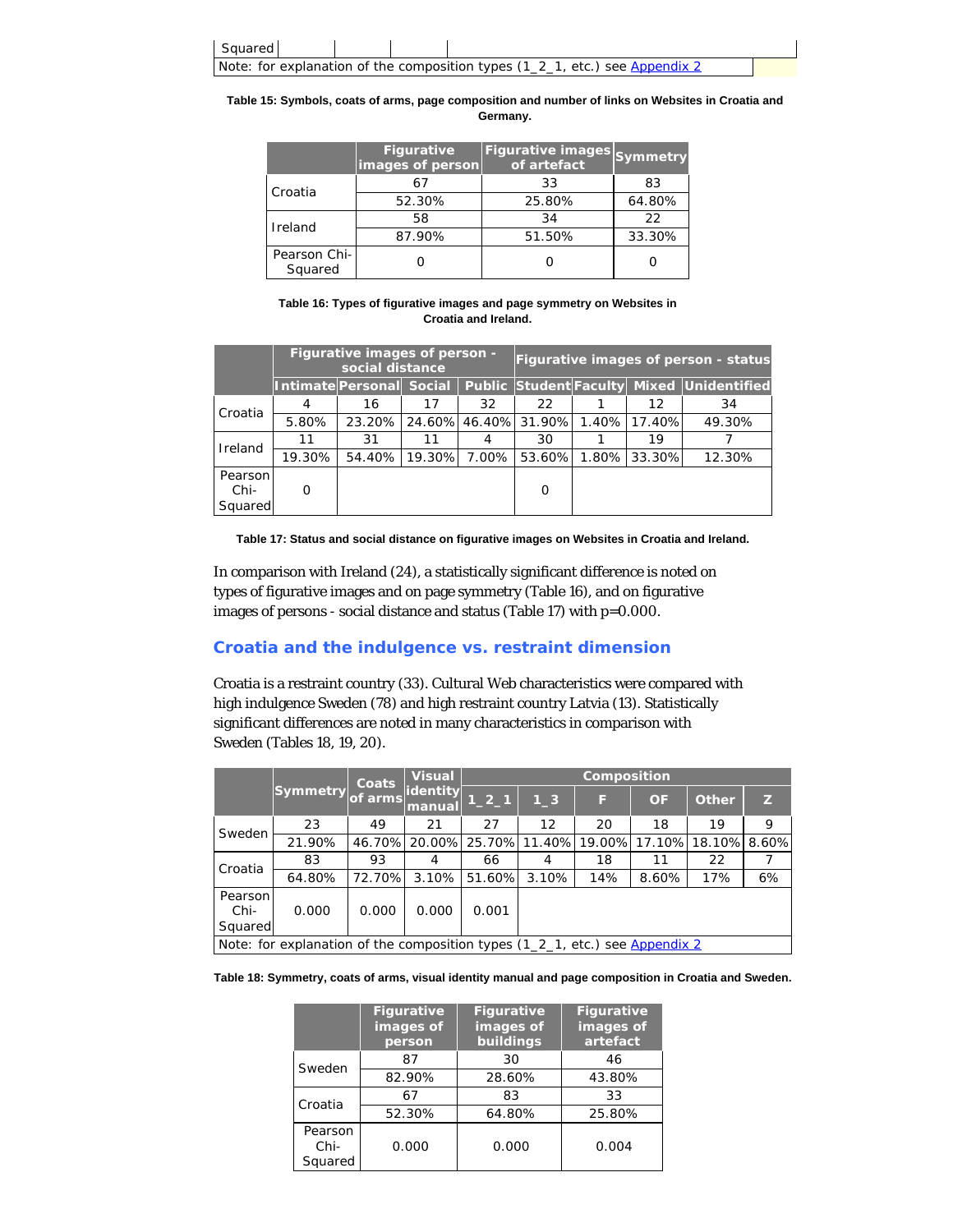

**Table 15: Symbols, coats of arms, page composition and number of links on Websites in Croatia and Germany.**

|                         | <b>Figurative</b><br>images of person | Figurative images Symmetry<br>of artefact |        |
|-------------------------|---------------------------------------|-------------------------------------------|--------|
| Croatia                 | 67                                    | 33                                        | 83     |
|                         | 52.30%                                | 25.80%                                    | 64.80% |
| Ireland                 | 58                                    | 34                                        | 22     |
|                         | 87.90%                                | 51.50%                                    | 33.30% |
| Pearson Chi-<br>Squared |                                       |                                           |        |

**Table 16: Types of figurative images and page symmetry on Websites in Croatia and Ireland.**

|                            | Figurative images of person -<br>social distance |                          |        |       |                                   |              | Figurative images of person - status      |
|----------------------------|--------------------------------------------------|--------------------------|--------|-------|-----------------------------------|--------------|-------------------------------------------|
|                            |                                                  | Intimate Personal Social |        |       |                                   |              | Public Student Faculty Mixed Unidentified |
| Croatia                    | 4                                                | 16                       | 17     | 32    | 22                                | 12           | 34                                        |
|                            | 5.80%                                            | 23.20%                   |        |       | 24.60% 46.40% 31.90% 1.40% 17.40% |              | 49.30%                                    |
| Ireland                    | 11                                               | 31                       | 11     | 4     | 30                                | 19           |                                           |
|                            | 19.30%                                           | 54.40%                   | 19.30% | 7.00% | 53.60%                            | 1.80% 33.30% | 12.30%                                    |
| Pearson<br>Chi-<br>Squared | O                                                |                          |        |       | O                                 |              |                                           |

**Table 17: Status and social distance on figurative images on Websites in Croatia and Ireland.**

In comparison with Ireland (24), a statistically significant difference is noted on types of figurative images and on page symmetry (Table 16), and on figurative images of persons - social distance and status (Table 17) with p=0.000.

# **Croatia and the indulgence vs. restraint dimension**

Croatia is a restraint country (33). Cultural Web characteristics were compared with high indulgence Sweden (78) and high restraint country Latvia (13). Statistically significant differences are noted in many characteristics in comparison with Sweden (Tables 18, 19, 20).

|                            |                                                                             | <b>Coats</b> | <b>Visual</b>      |          |                   | Composition          |        |              |       |
|----------------------------|-----------------------------------------------------------------------------|--------------|--------------------|----------|-------------------|----------------------|--------|--------------|-------|
|                            | <b>Symmetry</b>                                                             | of arms      | identity<br>manual | $1_{21}$ | $1-3$             | F                    | OF     | <b>Other</b> | Z     |
| Sweden                     | 23                                                                          | 49           | 21                 | 27       | $12 \overline{ }$ | 20                   | 18     | 19           | 9     |
|                            | 21.90%                                                                      |              | 46.70% 20.00%      |          |                   | 25.70% 11.40% 19.00% | 17.10% | 18.10%       | 8.60% |
| Croatia                    | 83                                                                          | 93           | 4                  | 66       | 4                 | 18                   | 11     | 22           |       |
|                            | 64.80%                                                                      | 72.70%       | 3.10%              | 51.60%   | 3.10%             | 14%                  | 8.60%  | 17%          | 6%    |
| Pearson<br>Chi-<br>Squared | 0.000                                                                       | 0.000        | 0.000              | 0.001    |                   |                      |        |              |       |
|                            | Note: for explanation of the composition types (1_2_1, etc.) see Appendix 2 |              |                    |          |                   |                      |        |              |       |

**Table 18: Symmetry, coats of arms, visual identity manual and page composition in Croatia and Sweden.**

|                            | <b>Figurative</b><br>images of<br>person | <b>Figurative</b><br>images of<br>buildings | <b>Figurative</b><br>images of<br>artefact |
|----------------------------|------------------------------------------|---------------------------------------------|--------------------------------------------|
| Sweden                     | 87                                       | 30                                          | 46                                         |
|                            | 82.90%                                   | 28.60%                                      | 43.80%                                     |
| Croatia                    | 67                                       | 83                                          | 33                                         |
|                            | 52.30%                                   | 64.80%                                      | 25.80%                                     |
| Pearson<br>Chi-<br>Squared | 0.000                                    | 0.000                                       | 0.004                                      |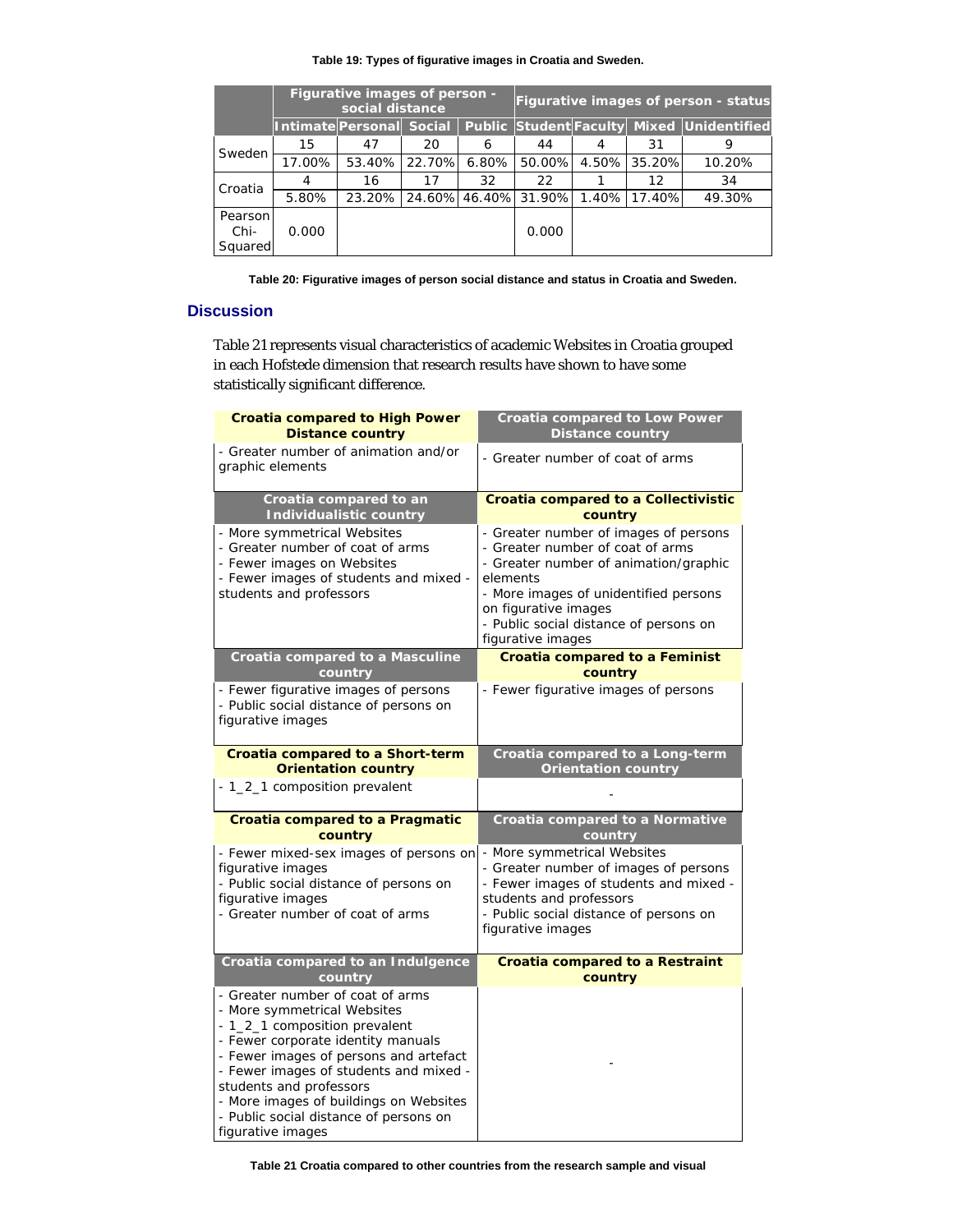## **Table 19: Types of figurative images in Croatia and Sweden.**

|                            | Figurative images of person -<br>social distance |                          |        |       |                      |       |        | Figurative images of person - status      |
|----------------------------|--------------------------------------------------|--------------------------|--------|-------|----------------------|-------|--------|-------------------------------------------|
|                            |                                                  | Intimate Personal Social |        |       |                      |       |        | Public Student Faculty Mixed Unidentified |
| Sweden                     | 15                                               | 47                       | 20     | 6     | 44                   | 4     | 31     | 9                                         |
|                            | 17.00%                                           | 53.40%                   | 22.70% | 6.80% | 50.00%               | 4.50% | 35.20% | 10.20%                                    |
| Croatia                    | 4                                                | 16                       | 17     | 32    | 22                   |       | 12     | 34                                        |
|                            | 5.80%                                            | 23.20%                   |        |       | 24.60% 46.40% 31.90% | 1.40% | 17.40% | 49.30%                                    |
| Pearson<br>Chi-<br>Squared | 0.000                                            |                          |        |       | 0.000                |       |        |                                           |

**Table 20: Figurative images of person social distance and status in Croatia and Sweden.**

# **Discussion**

Table 21 represents visual characteristics of academic Websites in Croatia grouped in each Hofstede dimension that research results have shown to have some statistically significant difference.

| <b>Croatia compared to High Power</b><br><b>Distance country</b>                                                                                                                                                                                                                                                                                                                                               | <b>Croatia compared to Low Power</b><br><b>Distance country</b>                                                                                                                                                                                                |
|----------------------------------------------------------------------------------------------------------------------------------------------------------------------------------------------------------------------------------------------------------------------------------------------------------------------------------------------------------------------------------------------------------------|----------------------------------------------------------------------------------------------------------------------------------------------------------------------------------------------------------------------------------------------------------------|
| - Greater number of animation and/or<br>graphic elements                                                                                                                                                                                                                                                                                                                                                       | - Greater number of coat of arms                                                                                                                                                                                                                               |
| Croatia compared to an<br><b>Individualistic country</b>                                                                                                                                                                                                                                                                                                                                                       | <b>Croatia compared to a Collectivistic</b><br>country                                                                                                                                                                                                         |
| - More symmetrical Websites<br>- Greater number of coat of arms<br>- Fewer images on Websites<br>- Fewer images of students and mixed -<br>students and professors                                                                                                                                                                                                                                             | - Greater number of images of persons<br>- Greater number of coat of arms<br>- Greater number of animation/graphic<br>elements<br>- More images of unidentified persons<br>on figurative images<br>- Public social distance of persons on<br>figurative images |
| <b>Croatia compared to a Masculine</b><br>country                                                                                                                                                                                                                                                                                                                                                              | <b>Croatia compared to a Feminist</b><br>country                                                                                                                                                                                                               |
| - Fewer figurative images of persons<br>- Public social distance of persons on<br>figurative images                                                                                                                                                                                                                                                                                                            | - Fewer figurative images of persons                                                                                                                                                                                                                           |
| Croatia compared to a Short-term<br><b>Orientation country</b>                                                                                                                                                                                                                                                                                                                                                 | Croatia compared to a Long-term<br><b>Orientation country</b>                                                                                                                                                                                                  |
| - 1_2_1 composition prevalent                                                                                                                                                                                                                                                                                                                                                                                  |                                                                                                                                                                                                                                                                |
| <b>Croatia compared to a Pragmatic</b><br>country                                                                                                                                                                                                                                                                                                                                                              | Croatia compared to a Normative<br>country                                                                                                                                                                                                                     |
| - Fewer mixed-sex images of persons on<br>figurative images<br>- Public social distance of persons on<br>figurative images<br>- Greater number of coat of arms                                                                                                                                                                                                                                                 | - More symmetrical Websites<br>- Greater number of images of persons<br>- Fewer images of students and mixed -<br>students and professors<br>- Public social distance of persons on<br>figurative images                                                       |
| Croatia compared to an Indulgence<br>country<br>- Greater number of coat of arms<br>- More symmetrical Websites<br>- 1_2_1 composition prevalent<br>- Fewer corporate identity manuals<br>- Fewer images of persons and artefact<br>- Fewer images of students and mixed -<br>students and professors<br>- More images of buildings on Websites<br>- Public social distance of persons on<br>figurative images | <b>Croatia compared to a Restraint</b><br>country                                                                                                                                                                                                              |

**Table 21 Croatia compared to other countries from the research sample and visual**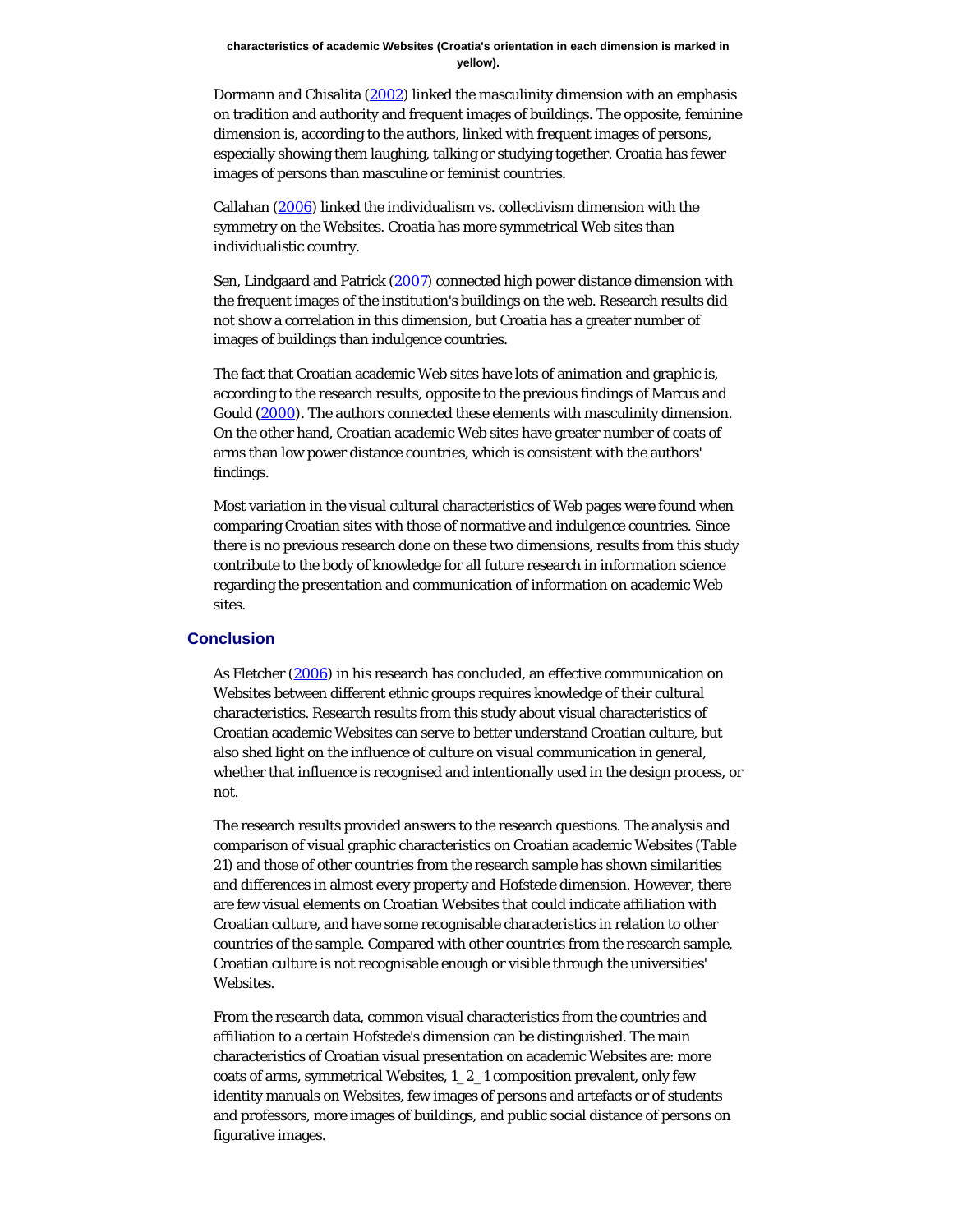#### **characteristics of academic Websites (Croatia's orientation in each dimension is marked in yellow).**

Dormann and Chisalita [\(2002](#page-18-2)) linked the masculinity dimension with an emphasis on tradition and authority and frequent images of buildings. The opposite, feminine dimension is, according to the authors, linked with frequent images of persons, especially showing them laughing, talking or studying together. Croatia has fewer images of persons than masculine or feminist countries.

Callahan [\(2006](#page-18-2)) linked the individualism vs. collectivism dimension with the symmetry on the Websites. Croatia has more symmetrical Web sites than individualistic country.

Sen, Lindgaard and Patrick [\(2007](#page-18-8)) connected high power distance dimension with the frequent images of the institution's buildings on the web. Research results did not show a correlation in this dimension, but Croatia has a greater number of images of buildings than indulgence countries.

The fact that Croatian academic Web sites have lots of animation and graphic is, according to the research results, opposite to the previous findings of Marcus and Gould ([2000\)](#page-18-5). The authors connected these elements with masculinity dimension. On the other hand, Croatian academic Web sites have greater number of coats of arms than low power distance countries, which is consistent with the authors' findings.

Most variation in the visual cultural characteristics of Web pages were found when comparing Croatian sites with those of normative and indulgence countries. Since there is no previous research done on these two dimensions, results from this study contribute to the body of knowledge for all future research in information science regarding the presentation and communication of information on academic Web sites.

#### **Conclusion**

As Fletcher [\(2006](#page-18-2)) in his research has concluded, an effective communication on Websites between different ethnic groups requires knowledge of their cultural characteristics. Research results from this study about visual characteristics of Croatian academic Websites can serve to better understand Croatian culture, but also shed light on the influence of culture on visual communication in general, whether that influence is recognised and intentionally used in the design process, or not.

The research results provided answers to the research questions. The analysis and comparison of visual graphic characteristics on Croatian academic Websites (Table 21) and those of other countries from the research sample has shown similarities and differences in almost every property and Hofstede dimension. However, there are few visual elements on Croatian Websites that could indicate affiliation with Croatian culture, and have some recognisable characteristics in relation to other countries of the sample. Compared with other countries from the research sample, Croatian culture is not recognisable enough or visible through the universities' Websites.

From the research data, common visual characteristics from the countries and affiliation to a certain Hofstede's dimension can be distinguished. The main characteristics of Croatian visual presentation on academic Websites are: more coats of arms, symmetrical Websites, 1\_2\_1 composition prevalent, only few identity manuals on Websites, few images of persons and artefacts or of students and professors, more images of buildings, and public social distance of persons on figurative images.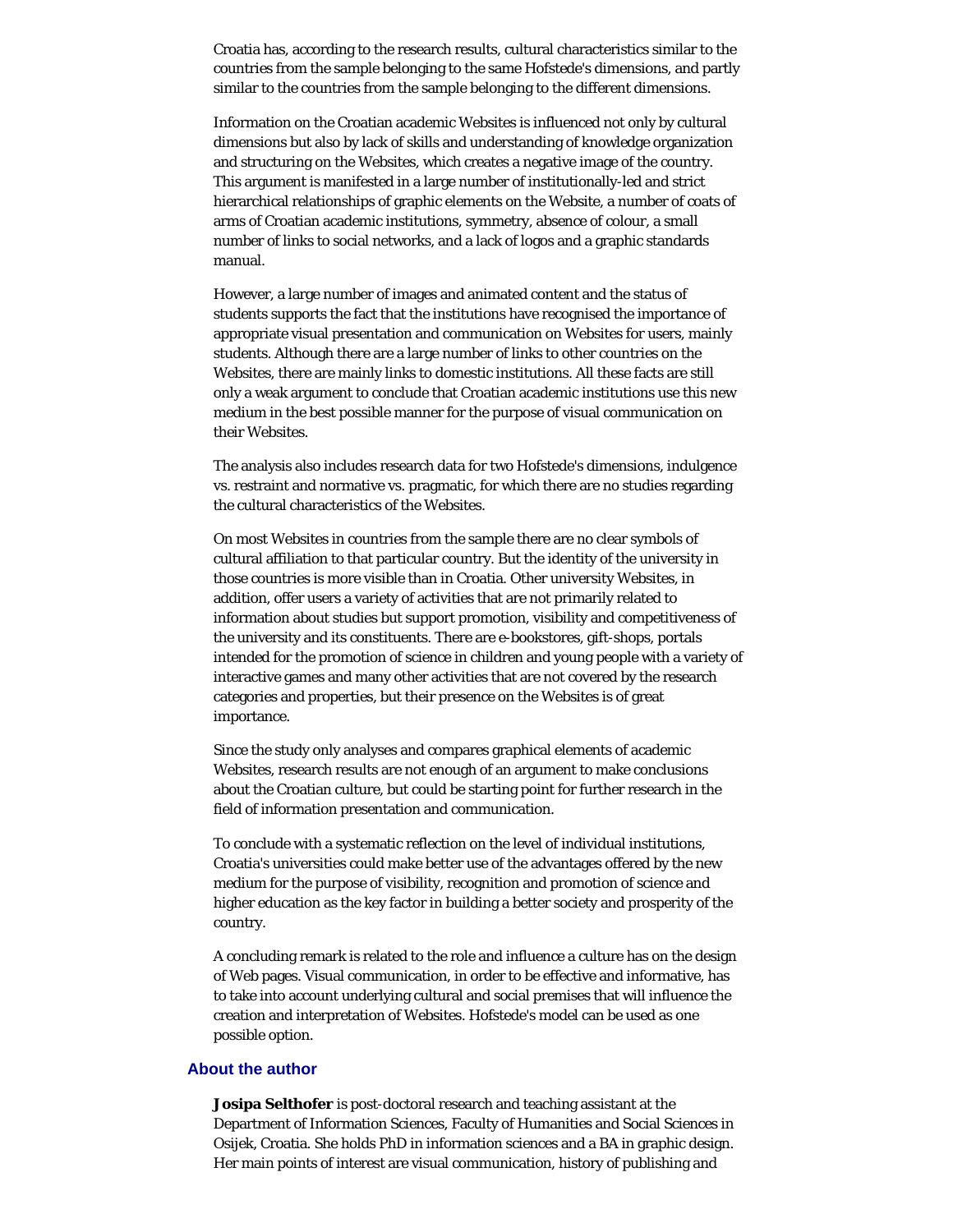Croatia has, according to the research results, cultural characteristics similar to the countries from the sample belonging to the same Hofstede's dimensions, and partly similar to the countries from the sample belonging to the different dimensions.

Information on the Croatian academic Websites is influenced not only by cultural dimensions but also by lack of skills and understanding of knowledge organization and structuring on the Websites, which creates a negative image of the country. This argument is manifested in a large number of institutionally-led and strict hierarchical relationships of graphic elements on the Website, a number of coats of arms of Croatian academic institutions, symmetry, absence of colour, a small number of links to social networks, and a lack of logos and a graphic standards manual.

However, a large number of images and animated content and the status of students supports the fact that the institutions have recognised the importance of appropriate visual presentation and communication on Websites for users, mainly students. Although there are a large number of links to other countries on the Websites, there are mainly links to domestic institutions. All these facts are still only a weak argument to conclude that Croatian academic institutions use this new medium in the best possible manner for the purpose of visual communication on their Websites.

The analysis also includes research data for two Hofstede's dimensions, indulgence vs. restraint and normative vs. pragmatic, for which there are no studies regarding the cultural characteristics of the Websites.

On most Websites in countries from the sample there are no clear symbols of cultural affiliation to that particular country. But the identity of the university in those countries is more visible than in Croatia. Other university Websites, in addition, offer users a variety of activities that are not primarily related to information about studies but support promotion, visibility and competitiveness of the university and its constituents. There are e-bookstores, gift-shops, portals intended for the promotion of science in children and young people with a variety of interactive games and many other activities that are not covered by the research categories and properties, but their presence on the Websites is of great importance.

Since the study only analyses and compares graphical elements of academic Websites, research results are not enough of an argument to make conclusions about the Croatian culture, but could be starting point for further research in the field of information presentation and communication.

To conclude with a systematic reflection on the level of individual institutions, Croatia's universities could make better use of the advantages offered by the new medium for the purpose of visibility, recognition and promotion of science and higher education as the key factor in building a better society and prosperity of the country.

A concluding remark is related to the role and influence a culture has on the design of Web pages. Visual communication, in order to be effective and informative, has to take into account underlying cultural and social premises that will influence the creation and interpretation of Websites. Hofstede's model can be used as one possible option.

## <span id="page-16-0"></span>**About the author**

**Josipa Selthofer** is post-doctoral research and teaching assistant at the Department of Information Sciences, Faculty of Humanities and Social Sciences in Osijek, Croatia. She holds PhD in information sciences and a BA in graphic design. Her main points of interest are visual communication, history of publishing and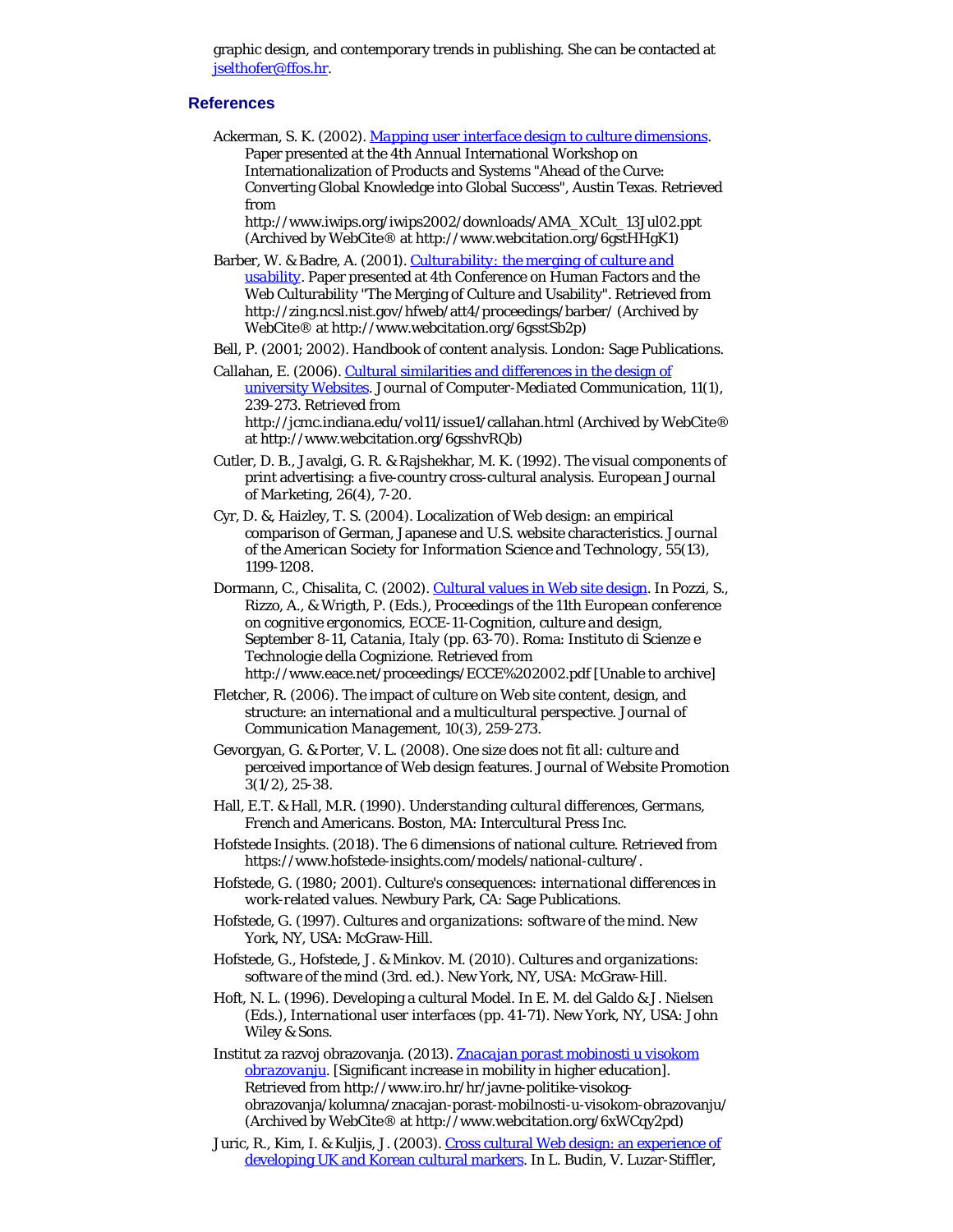graphic design, and contemporary trends in publishing. She can be contacted at [jselthofer@ffos.hr](mailto:jselthofer@ffos.hr).

## **References**

Ackerman, S. K. (2002). *[Mapping user interface design to culture dimensions](http://www.webcitation.org/6gstHHgK1)*. Paper presented at the 4th Annual International Workshop on Internationalization of Products and Systems "Ahead of the Curve: Converting Global Knowledge into Global Success", Austin Texas. Retrieved from

http://www.iwips.org/iwips2002/downloads/AMA\_XCult\_13Jul02.ppt (Archived by WebCite® at http://www.webcitation.org/6gstHHgK1)

Barber, W. & Badre, A. (2001). *[Culturability: the merging of culture and](http://www.webcitation.org/6gsstSb2p) [usability](http://www.webcitation.org/6gsstSb2p)*. Paper presented at 4th Conference on Human Factors and the Web Culturability "The Merging of Culture and Usability". Retrieved from http://zing.ncsl.nist.gov/hfweb/att4/proceedings/barber/ (Archived by WebCite® at http://www.webcitation.org/6gsstSb2p)

Bell, P. (2001; 2002). *Handbook of content analysis*. London: Sage Publications.

Callahan, E. (2006). [Cultural similarities and differences in the design of](http://www.webcitation.org/6gsshvRQb) [university Websites](http://www.webcitation.org/6gsshvRQb). *Journal of Computer-Mediated Communication, 11*(1), 239-273. Retrieved from http://jcmc.indiana.edu/vol11/issue1/callahan.html (Archived by WebCite®

at http://www.webcitation.org/6gsshvRQb)

- Cutler, D. B., Javalgi, G. R. & Rajshekhar, M. K. (1992). The visual components of print advertising: a five-country cross-cultural analysis. *European Journal of Marketing, 26*(4), 7-20.
- Cyr, D. &, Haizley, T. S. (2004). Localization of Web design: an empirical comparison of German, Japanese and U.S. website characteristics. *Journal of the American Society for Information Science and Technology, 55*(13), 1199-1208.
- Dormann, C., Chisalita, C. (2002). [Cultural values in Web site design](http://www.eace.net/proceedings/ECCE%202002.pdf). In Pozzi, S., Rizzo, A., & Wrigth, P. (Eds.), *Proceedings of the 11th European conference on cognitive ergonomics, ECCE-11-Cognition, culture and design, September 8-11, Catania, Italy* (pp. 63-70). Roma: Instituto di Scienze e Technologie della Cognizione. Retrieved from http://www.eace.net/proceedings/ECCE%202002.pdf [Unable to archive]
- Fletcher, R. (2006). The impact of culture on Web site content, design, and structure: an international and a multicultural perspective. *Journal of Communication Management, 10*(3), 259-273.
- Gevorgyan, G. & Porter, V. L. (2008). One size does not fit all: culture and perceived importance of Web design features. *Journal of Website Promotion 3*(1/2), 25-38.
- Hall, E.T. & Hall, M.R. (1990). *Understanding cultural differences, Germans, French and Americans*. Boston, MA: Intercultural Press Inc.
- Hofstede Insights. (2018). The 6 dimensions of national culture. Retrieved from https://www.hofstede-insights.com/models/national-culture/.
- Hofstede, G. (1980; 2001). *Culture's consequences: international differences in work-related values*. Newbury Park, CA: Sage Publications.
- Hofstede, G. (1997). *Cultures and organizations: software of the mind.* New York, NY, USA: McGraw-Hill.
- Hofstede, G., Hofstede, J. & Minkov. M. (2010). *Cultures and organizations: software of the mind* (3rd. ed.). New York, NY, USA: McGraw-Hill.
- Hoft, N. L. (1996). Developing a cultural Model. In E. M. del Galdo & J. Nielsen (Eds.), *International user interfaces* (pp. 41-71). New York, NY, USA: John Wiley & Sons.
- Institut za razvoj obrazovanja. (2013). *[Znacajan porast mobinosti u visokom](http://www.webcitation.org/6xWCqy2pd) [obrazovanju](http://www.webcitation.org/6xWCqy2pd)*. [Significant increase in mobility in higher education]. Retrieved from http://www.iro.hr/hr/javne-politike-visokogobrazovanja/kolumna/znacajan-porast-mobilnosti-u-visokom-obrazovanju/ (Archived by WebCite® at http://www.webcitation.org/6xWCqy2pd)
- Juric, R., Kim, I. & Kuljis, J. (2003). [Cross cultural Web design: an experience of](http://www.webcitation.org/6grHmrauO) [developing UK and Korean cultural markers](http://www.webcitation.org/6grHmrauO). In L. Budin, V. Luzar-Stiffler,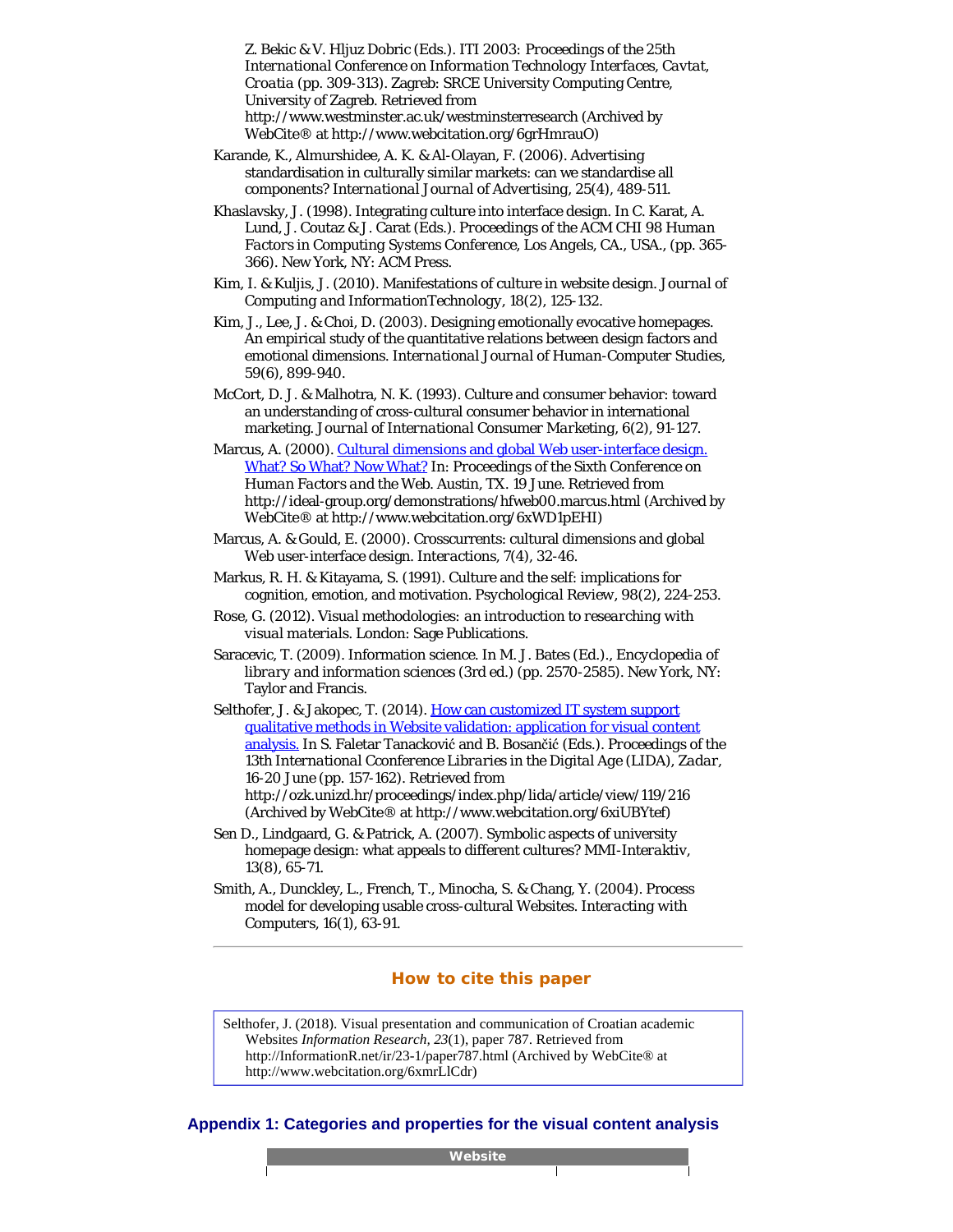<span id="page-18-10"></span><span id="page-18-2"></span>Z. Bekic & V. Hljuz Dobric (Eds.). *ITI 2003: Proceedings of the 25th International Conference on Information Technology Interfaces, Cavtat, Croatia* (pp. 309-313). Zagreb: SRCE University Computing Centre, University of Zagreb. Retrieved from http://www.westminster.ac.uk/westminsterresearch (Archived by WebCite® at http://www.webcitation.org/6grHmrauO)

- <span id="page-18-4"></span>Karande, K., Almurshidee, A. K. & Al-Olayan, F. (2006). Advertising standardisation in culturally similar markets: can we standardise all components? *International Journal of Advertising, 25*(4), 489-511.
- <span id="page-18-3"></span>Khaslavsky, J. (1998). Integrating culture into interface design. In C. Karat, A. Lund, J. Coutaz & J. Carat (Eds.). *Proceedings of the ACM CHI 98 Human Factors in Computing Systems Conference, Los Angels, CA., USA.*, (pp. 365- 366). New York, NY: ACM Press.
- <span id="page-18-11"></span>Kim, I. & Kuljis, J. (2010). Manifestations of culture in website design. *Journal of Computing and InformationTechnology, 18*(2), 125-132.
- <span id="page-18-12"></span>Kim, J., Lee, J. & Choi, D. (2003). Designing emotionally evocative homepages. An empirical study of the quantitative relations between design factors and emotional dimensions. *International Journal of Human-Computer Studies, 59*(6), 899-940.
- <span id="page-18-0"></span>McCort, D. J. & Malhotra, N. K. (1993). Culture and consumer behavior: toward an understanding of cross-cultural consumer behavior in international marketing. *Journal of International Consumer Marketing, 6*(2), 91-127.
- <span id="page-18-6"></span>Marcus, A. (2000). [Cultural dimensions and global Web user-interface design.](http://www.webcitation.org/6xWD1pEHI) [What? So What? Now What?](http://www.webcitation.org/6xWD1pEHI) In: *Proceedings of the Sixth Conference on Human Factors and the Web. Austin, TX. 19 June*. Retrieved from http://ideal-group.org/demonstrations/hfweb00.marcus.html (Archived by WebCite® at http://www.webcitation.org/6xWD1pEHI)
- <span id="page-18-5"></span>Marcus, A. & Gould, E. (2000). Crosscurrents: cultural dimensions and global Web user-interface design. *Interactions, 7*(4), 32-46.
- <span id="page-18-7"></span>Markus, R. H. & Kitayama, S. (1991). Culture and the self: implications for cognition, emotion, and motivation. *Psychological Review, 98*(2), 224-253.
- <span id="page-18-13"></span>Rose, G. (2012). *Visual methodologies: an introduction to researching with visual materials*. London: Sage Publications.
- <span id="page-18-1"></span>Saracevic, T. (2009). Information science. In M. J. Bates (Ed.)., *Encyclopedia of library and information sciences* (3rd ed.) (pp. 2570-2585). New York, NY: Taylor and Francis.
- <span id="page-18-14"></span>Selthofer, J. & Jakopec, T. (2014). [How can customized IT system support](http://www.webcitation.org/6xiUBYtef) [qualitative methods in Website validation: application for visual content](http://www.webcitation.org/6xiUBYtef) [analysis.](http://www.webcitation.org/6xiUBYtef) In S. Faletar Tanacković and B. Bosančić (Eds.). *Proceedings of the 13th International Cconference Libraries in the Digital Age (LIDA), Zadar, 16-20 June* (pp. 157-162). Retrieved from http://ozk.unizd.hr/proceedings/index.php/lida/article/view/119/216 (Archived by WebCite® at http://www.webcitation.org/6xiUBYtef)
- <span id="page-18-8"></span>Sen D., Lindgaard, G. & Patrick, A. (2007). Symbolic aspects of university homepage design: what appeals to different cultures? *MMI-Interaktiv, 13*(8), 65-71.
- <span id="page-18-9"></span>Smith, A., Dunckley, L., French, T., Minocha, S. & Chang, Y. (2004). Process model for developing usable cross-cultural Websites. *Interacting with Computers, 16*(1), 63-91.

### **How to cite this paper**

Selthofer, J. (2018). Visual presentation and communication of Croatian academic Websites *Information Research, 23*(1), paper 787. Retrieved from http://InformationR.net/ir/23-1/paper787.html (Archived by WebCite® at http://www.webcitation.org/6xmrLlCdr)

### **Appendix 1: Categories and properties for the visual content analysis**

**Website**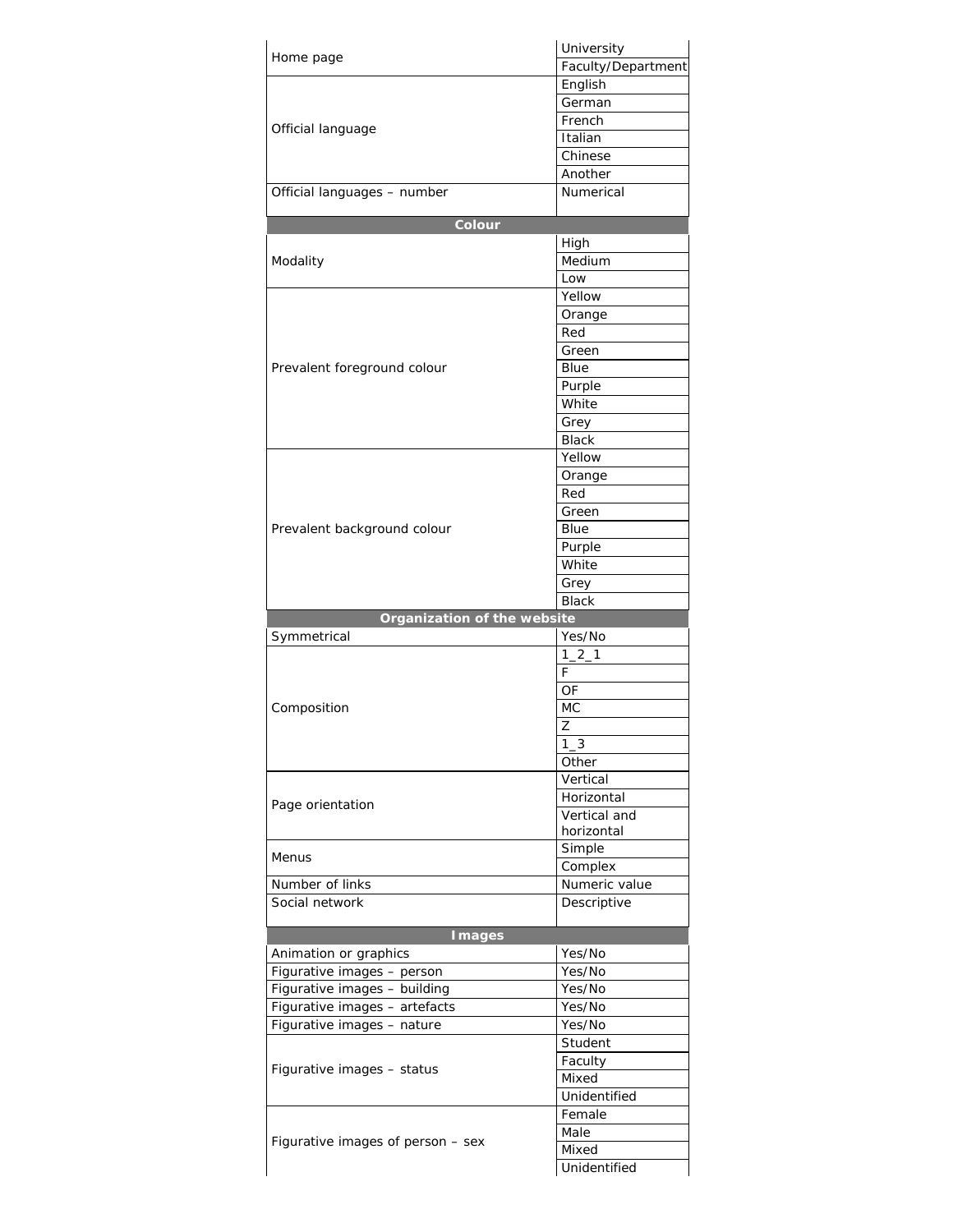| Home page                         | University            |
|-----------------------------------|-----------------------|
|                                   | Faculty/Department    |
|                                   | English               |
|                                   | German                |
|                                   | French                |
| Official language                 | Italian               |
|                                   | Chinese               |
|                                   | Another               |
| Official languages - number       | Numerical             |
|                                   |                       |
| Colour                            |                       |
|                                   | High                  |
| Modality                          | Medium                |
|                                   | Low                   |
|                                   | Yellow                |
|                                   | Orange                |
|                                   | Red                   |
|                                   | Green                 |
| Prevalent foreground colour       | Blue                  |
|                                   | Purple                |
|                                   | White                 |
|                                   | Grey                  |
|                                   | <b>Black</b>          |
|                                   | Yellow                |
|                                   | Orange                |
|                                   | Red                   |
|                                   | Green                 |
| Prevalent background colour       | Blue                  |
|                                   | Purple                |
|                                   | White                 |
|                                   | Grey                  |
|                                   |                       |
|                                   | <b>Black</b>          |
| Organization of the website       |                       |
| Symmetrical                       | Yes/No                |
|                                   | $1 - 2 - 1$           |
|                                   | F                     |
|                                   | OF                    |
| Composition                       | МC                    |
|                                   | Z                     |
|                                   | $1\_3$                |
|                                   | Other                 |
|                                   | Vertical              |
| Page orientation                  | Horizontal            |
|                                   | Vertical and          |
|                                   | horizontal            |
| Menus                             | Simple                |
|                                   | Complex               |
| Number of links                   | Numeric value         |
| Social network                    | Descriptive           |
|                                   |                       |
| <b>Images</b>                     |                       |
| Animation or graphics             | Yes/No                |
| Figurative images - person        | Yes/No                |
| Figurative images - building      | Yes/No                |
| Figurative images - artefacts     | Yes/No                |
| Figurative images - nature        | Yes/No                |
|                                   | Student               |
| Figurative images - status        | Faculty               |
|                                   | Mixed                 |
|                                   | Unidentified          |
|                                   | Female                |
| Figurative images of person - sex | Male                  |
|                                   | Mixed<br>Unidentified |